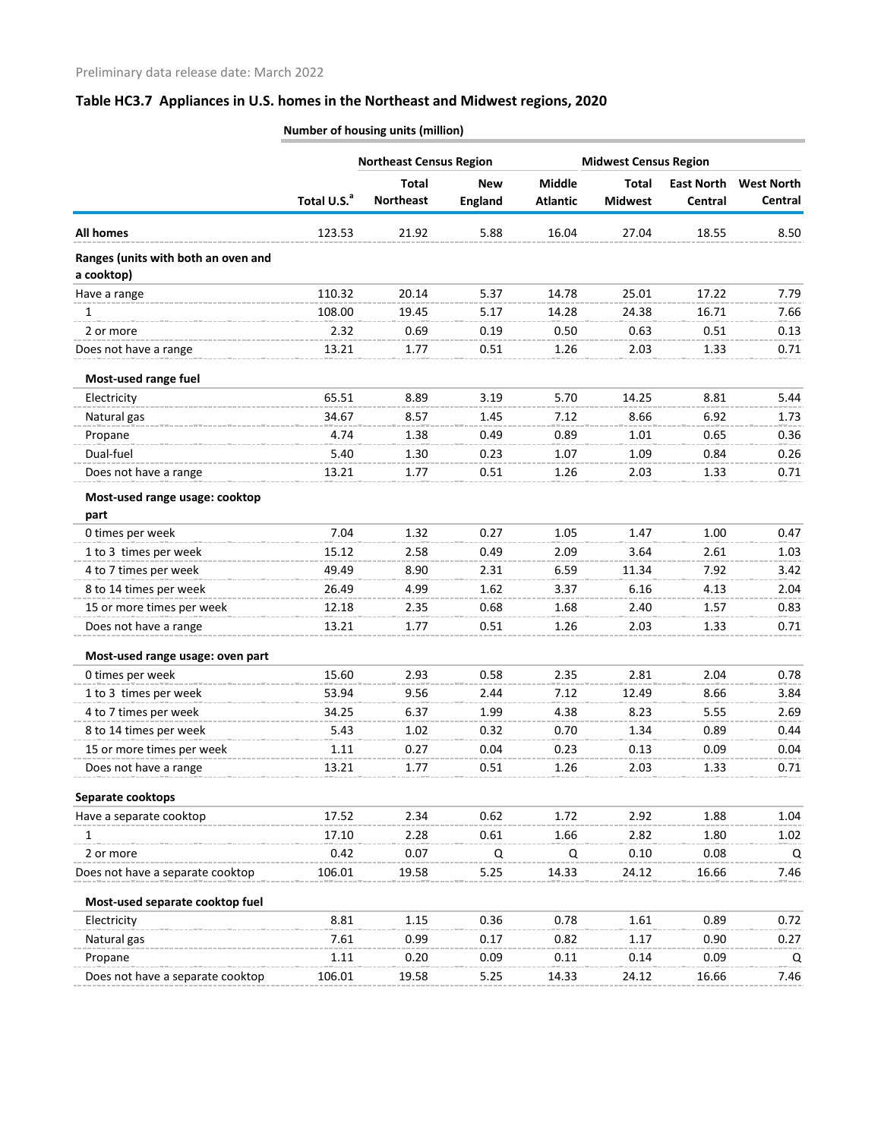|                                                   |                         | <b>Northeast Census Region</b> |                |                 | <b>Midwest Census Region</b> |                   |                   |
|---------------------------------------------------|-------------------------|--------------------------------|----------------|-----------------|------------------------------|-------------------|-------------------|
|                                                   |                         | <b>Total</b>                   | <b>New</b>     | <b>Middle</b>   | <b>Total</b>                 | <b>East North</b> | <b>West North</b> |
|                                                   | Total U.S. <sup>a</sup> | <b>Northeast</b>               | <b>England</b> | <b>Atlantic</b> | <b>Midwest</b>               | Central           | Central           |
| <b>All homes</b>                                  | 123.53                  | 21.92                          | 5.88           | 16.04           | 27.04                        | 18.55             | 8.50              |
| Ranges (units with both an oven and<br>a cooktop) |                         |                                |                |                 |                              |                   |                   |
| Have a range                                      | 110.32                  | 20.14                          | 5.37           | 14.78           | 25.01                        | 17.22             | 7.79              |
| 1                                                 | 108.00                  | 19.45                          | 5.17           | 14.28           | 24.38                        | 16.71             | 7.66              |
| 2 or more                                         | 2.32                    | 0.69                           | 0.19           | 0.50            | 0.63                         | 0.51              | 0.13              |
| Does not have a range                             | 13.21                   | 1.77                           | 0.51           | 1.26            | 2.03                         | 1.33              | 0.71              |
| Most-used range fuel                              |                         |                                |                |                 |                              |                   |                   |
| Electricity                                       | 65.51                   | 8.89                           | 3.19           | 5.70            | 14.25                        | 8.81              | 5.44              |
| Natural gas                                       | 34.67                   | 8.57                           | 1.45           | 7.12            | 8.66                         | 6.92              | 1.73              |
| Propane                                           | 4.74                    | 1.38                           | 0.49           | 0.89            | 1.01                         | 0.65              | 0.36              |
| Dual-fuel                                         | 5.40                    | 1.30                           | 0.23           | 1.07            | 1.09                         | 0.84              | 0.26              |
| Does not have a range                             | 13.21                   | 1.77                           | 0.51           | 1.26            | 2.03                         | 1.33              | 0.71              |
| Most-used range usage: cooktop<br>part            |                         |                                |                |                 |                              |                   |                   |
| 0 times per week                                  | 7.04                    | 1.32                           | 0.27           | 1.05            | 1.47                         | 1.00              | 0.47              |
| 1 to 3 times per week                             | 15.12                   | 2.58                           | 0.49           | 2.09            | 3.64                         | 2.61              | 1.03              |
| 4 to 7 times per week                             | 49.49                   | 8.90                           | 2.31           | 6.59            | 11.34                        | 7.92              | 3.42              |
| 8 to 14 times per week                            | 26.49                   | 4.99                           | 1.62           | 3.37            | 6.16                         | 4.13              | 2.04              |
| 15 or more times per week                         | 12.18                   | 2.35                           | 0.68           | 1.68            | 2.40                         | 1.57              | 0.83              |
| Does not have a range                             | 13.21                   | 1.77                           | 0.51           | 1.26            | 2.03                         | 1.33              | 0.71              |
|                                                   |                         |                                |                |                 |                              |                   |                   |
| Most-used range usage: oven part                  |                         |                                |                |                 |                              |                   |                   |
| 0 times per week                                  | 15.60                   | 2.93                           | 0.58           | 2.35            | 2.81                         | 2.04              | 0.78              |
| 1 to 3 times per week                             | 53.94                   | 9.56                           | 2.44           | 7.12            | 12.49                        | 8.66              | 3.84              |
| 4 to 7 times per week                             | 34.25                   | 6.37                           | 1.99           | 4.38            | 8.23                         | 5.55              | 2.69              |
| 8 to 14 times per week                            | 5.43                    | 1.02                           | 0.32           | 0.70            | 1.34                         | 0.89              | 0.44              |
| 15 or more times per week                         | 1.11                    | 0.27                           | 0.04           | 0.23            | 0.13                         | 0.09              | 0.04              |
| Does not have a range                             | 13.21                   | 1.77                           | 0.51           | 1.26            | 2.03                         | 1.33              | 0.71              |
| Separate cooktops                                 |                         |                                |                |                 |                              |                   |                   |
| Have a separate cooktop                           | 17.52                   | 2.34                           | 0.62           | 1.72            | 2.92                         | 1.88              | 1.04              |
| 1                                                 | 17.10                   | 2.28                           | 0.61           | 1.66            | 2.82                         | 1.80              | 1.02              |
| 2 or more                                         | 0.42                    | 0.07                           | Q              | Q               | 0.10                         | 0.08              | Q                 |
| Does not have a separate cooktop                  | 106.01                  | 19.58                          | 5.25           | 14.33           | 24.12                        | 16.66             | 7.46              |
| Most-used separate cooktop fuel                   |                         |                                |                |                 |                              |                   |                   |
| Electricity                                       | 8.81                    | 1.15                           | 0.36           | 0.78            | 1.61                         | 0.89              | 0.72              |
| Natural gas                                       | 7.61                    | 0.99                           | 0.17           | 0.82            | 1.17                         | 0.90              | 0.27              |
| Propane                                           | 1.11                    | 0.20                           | 0.09           | 0.11            | 0.14                         | 0.09              | Q                 |
| Does not have a separate cooktop                  | 106.01                  | 19.58                          | 5.25           | 14.33           | 24.12                        | 16.66             | 7.46              |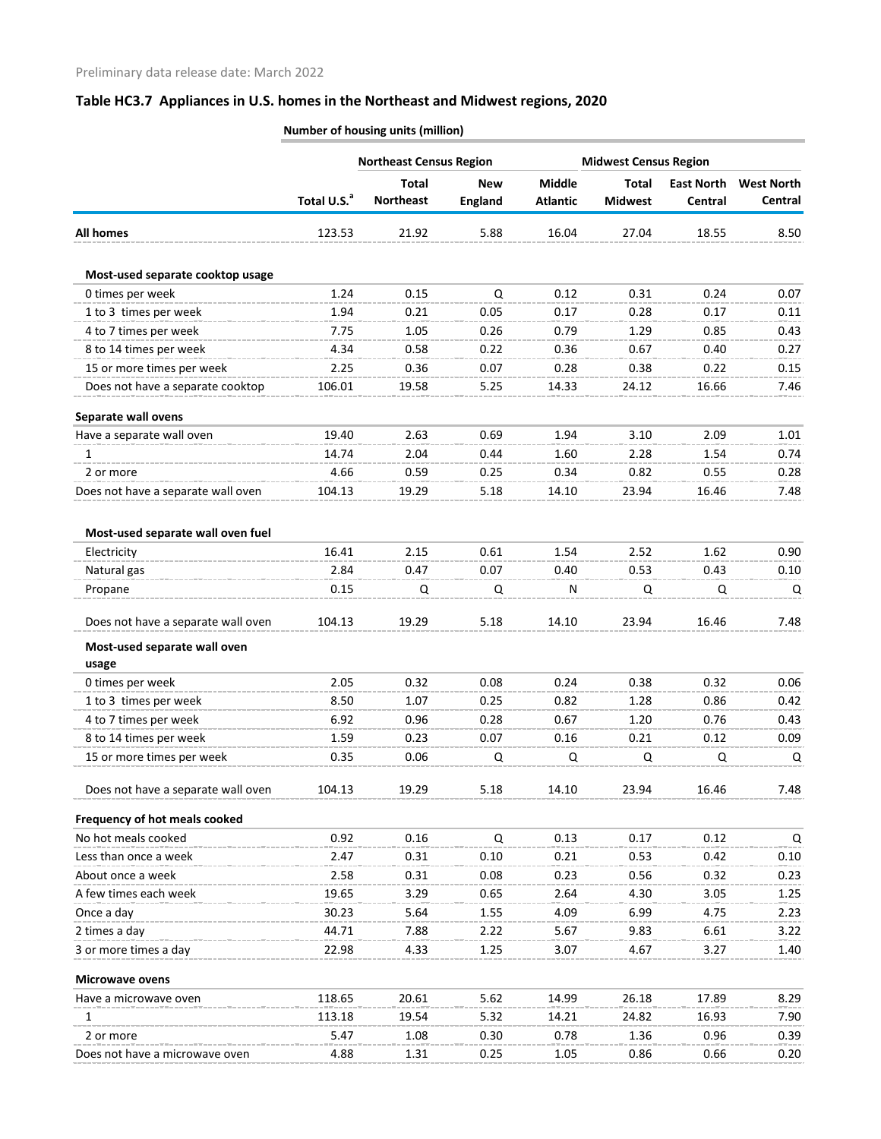|                                       |                         | <b>Northeast Census Region</b>   |                              | <b>Midwest Census Region</b>     |                                |                              |                              |
|---------------------------------------|-------------------------|----------------------------------|------------------------------|----------------------------------|--------------------------------|------------------------------|------------------------------|
|                                       | Total U.S. <sup>a</sup> | <b>Total</b><br><b>Northeast</b> | <b>New</b><br><b>England</b> | <b>Middle</b><br><b>Atlantic</b> | <b>Total</b><br><b>Midwest</b> | <b>East North</b><br>Central | <b>West North</b><br>Central |
| <b>All homes</b>                      | 123.53                  | 21.92                            | 5.88                         | 16.04                            | 27.04                          | 18.55                        | 8.50                         |
| Most-used separate cooktop usage      |                         |                                  |                              |                                  |                                |                              |                              |
| 0 times per week                      | 1.24                    | 0.15                             | Q                            | 0.12                             | 0.31                           | 0.24                         | 0.07                         |
| 1 to 3 times per week                 | 1.94                    | 0.21                             | 0.05                         | 0.17                             | 0.28                           | 0.17                         | 0.11                         |
| 4 to 7 times per week                 | 7.75                    | 1.05                             | 0.26                         | 0.79                             | 1.29                           | 0.85                         | 0.43                         |
| 8 to 14 times per week                | 4.34                    | 0.58                             | 0.22                         | 0.36                             | 0.67                           | 0.40                         | 0.27                         |
| 15 or more times per week             | 2.25                    | 0.36                             | 0.07                         | 0.28                             | 0.38                           | 0.22                         | 0.15                         |
| Does not have a separate cooktop      | 106.01                  | 19.58                            | 5.25                         | 14.33                            | 24.12                          | 16.66                        | 7.46                         |
| Separate wall ovens                   |                         |                                  |                              |                                  |                                |                              |                              |
| Have a separate wall oven             | 19.40                   | 2.63                             | 0.69                         | 1.94                             | 3.10                           | 2.09                         | 1.01                         |
| 1                                     | 14.74                   | 2.04                             | 0.44                         | 1.60                             | 2.28                           | 1.54                         | 0.74                         |
| 2 or more                             | 4.66                    | 0.59                             | 0.25                         | 0.34                             | 0.82                           | 0.55                         | 0.28                         |
| Does not have a separate wall oven    | 104.13                  | 19.29                            | 5.18                         | 14.10                            | 23.94                          | 16.46                        | 7.48                         |
| Most-used separate wall oven fuel     |                         |                                  |                              |                                  |                                |                              |                              |
| Electricity                           | 16.41                   | 2.15                             | 0.61                         | 1.54                             | 2.52                           | 1.62                         | 0.90                         |
| Natural gas                           | 2.84                    | 0.47                             | 0.07                         | 0.40                             | 0.53                           | 0.43                         | 0.10                         |
| Propane                               | 0.15                    | Q                                | Q                            | ${\sf N}$                        | Q                              | Q                            | Q                            |
| Does not have a separate wall oven    | 104.13                  | 19.29                            | 5.18                         | 14.10                            | 23.94                          | 16.46                        | 7.48                         |
| Most-used separate wall oven<br>usage |                         |                                  |                              |                                  |                                |                              |                              |
| 0 times per week                      | 2.05                    | 0.32                             | 0.08                         | 0.24                             | 0.38                           | 0.32                         | 0.06                         |
| 1 to 3 times per week                 | 8.50                    | 1.07                             | 0.25                         | 0.82                             | 1.28                           | 0.86                         | 0.42                         |
| 4 to 7 times per week                 | 6.92                    | 0.96                             | 0.28                         | 0.67                             | 1.20                           | 0.76                         | 0.43                         |
| 8 to 14 times per week                | 1.59                    | 0.23                             | 0.07                         | 0.16                             | 0.21                           | 0.12                         | 0.09                         |
| 15 or more times per week             | 0.35                    | 0.06                             | Q                            | Q                                | Q                              | Q                            | Q                            |
| Does not have a separate wall oven    | 104.13                  | 19.29                            | 5.18                         | 14.10                            | 23.94                          | 16.46                        | 7.48                         |
| Frequency of hot meals cooked         |                         |                                  |                              |                                  |                                |                              |                              |
| No hot meals cooked                   | 0.92                    | 0.16                             | Q                            | 0.13                             | 0.17                           | 0.12                         | Q                            |
| Less than once a week                 | 2.47                    | 0.31                             | 0.10                         | 0.21                             | 0.53                           | 0.42                         | 0.10                         |
| About once a week                     | 2.58                    | 0.31                             | 0.08                         | 0.23                             | 0.56                           | 0.32                         | 0.23                         |
| A few times each week                 | 19.65                   | 3.29                             | 0.65                         | 2.64                             | 4.30                           | 3.05                         | 1.25                         |
| Once a day                            | 30.23                   | 5.64                             | 1.55                         | 4.09                             | 6.99                           | 4.75                         | 2.23                         |
| 2 times a day                         | 44.71                   | 7.88                             | 2.22                         | 5.67                             | 9.83                           | 6.61                         | 3.22                         |
| 3 or more times a day                 | 22.98                   | 4.33                             | 1.25                         | 3.07                             | 4.67                           | 3.27                         | 1.40                         |
| <b>Microwave ovens</b>                |                         |                                  |                              |                                  |                                |                              |                              |
| Have a microwave oven                 | 118.65                  | 20.61                            | 5.62                         | 14.99                            | 26.18                          | 17.89                        | 8.29                         |
| 1                                     | 113.18                  | 19.54                            | 5.32                         | 14.21                            | 24.82                          | 16.93                        | 7.90                         |
| 2 or more                             | 5.47                    | 1.08                             | 0.30                         | 0.78                             | 1.36                           | 0.96                         | 0.39                         |
| Does not have a microwave oven        | 4.88                    | 1.31                             | 0.25                         | 1.05                             | 0.86                           | 0.66                         | 0.20                         |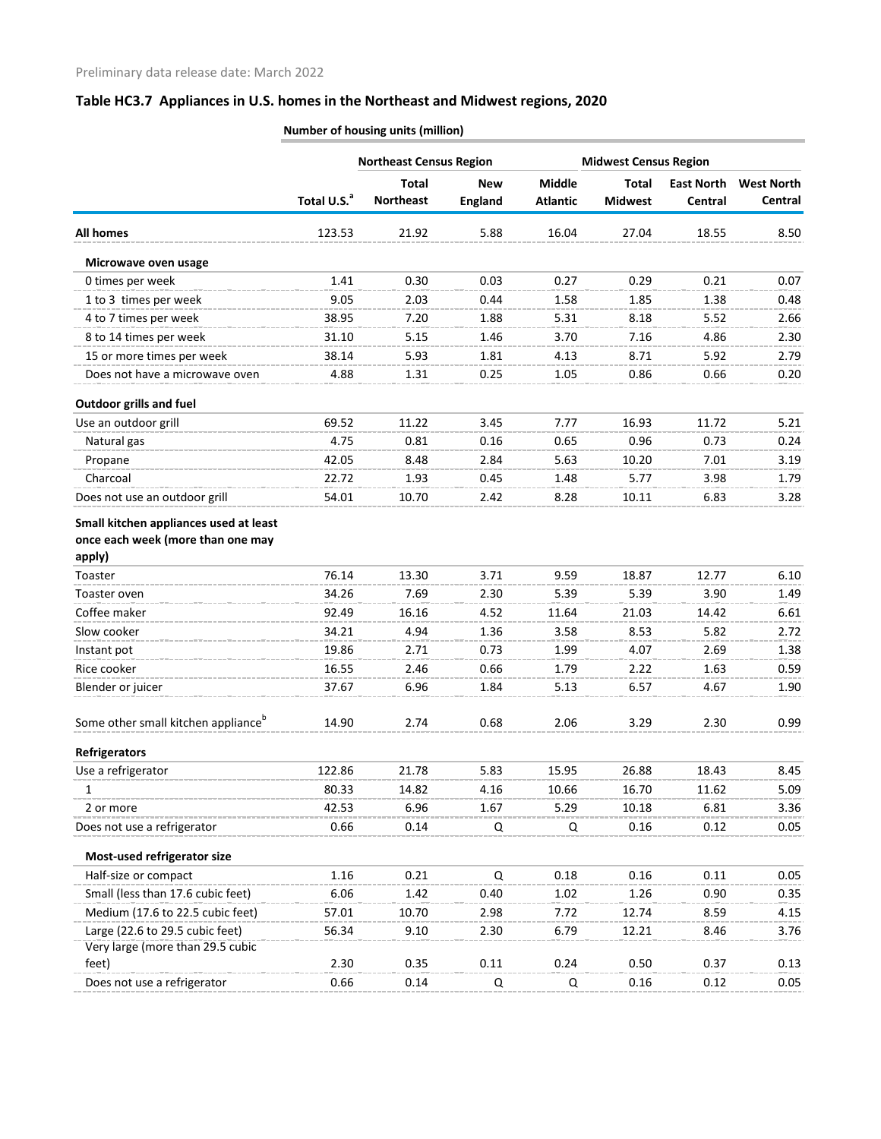|                                                 |                         | <b>Northeast Census Region</b>   |                              |                                  |                                | <b>Midwest Census Region</b> |                              |  |
|-------------------------------------------------|-------------------------|----------------------------------|------------------------------|----------------------------------|--------------------------------|------------------------------|------------------------------|--|
|                                                 | Total U.S. <sup>a</sup> | <b>Total</b><br><b>Northeast</b> | <b>New</b><br><b>England</b> | <b>Middle</b><br><b>Atlantic</b> | <b>Total</b><br><b>Midwest</b> | <b>East North</b><br>Central | <b>West North</b><br>Central |  |
| <b>All homes</b>                                | 123.53                  | 21.92                            | 5.88                         | 16.04                            | 27.04                          | 18.55                        | 8.50                         |  |
| Microwave oven usage                            |                         |                                  |                              |                                  |                                |                              |                              |  |
| 0 times per week                                | 1.41                    | 0.30                             | 0.03                         | 0.27                             | 0.29                           | 0.21                         | 0.07                         |  |
| 1 to 3 times per week                           | 9.05                    | 2.03                             | 0.44                         | 1.58                             | 1.85                           | 1.38                         | 0.48                         |  |
| 4 to 7 times per week                           | 38.95                   | 7.20                             | 1.88                         | 5.31                             | 8.18                           | 5.52                         | 2.66                         |  |
| 8 to 14 times per week                          | 31.10                   | 5.15                             | 1.46                         | 3.70                             | 7.16                           | 4.86                         | 2.30                         |  |
| 15 or more times per week                       | 38.14                   | 5.93                             | 1.81                         | 4.13                             | 8.71                           | 5.92                         | 2.79                         |  |
| Does not have a microwave oven                  | 4.88                    | 1.31                             | 0.25                         | 1.05                             | 0.86                           | 0.66                         | 0.20                         |  |
| <b>Outdoor grills and fuel</b>                  |                         |                                  |                              |                                  |                                |                              |                              |  |
| Use an outdoor grill                            | 69.52                   | 11.22                            | 3.45                         | 7.77                             | 16.93                          | 11.72                        | 5.21                         |  |
| Natural gas                                     | 4.75                    | 0.81                             | 0.16                         | 0.65                             | 0.96                           | 0.73                         | 0.24                         |  |
| Propane                                         | 42.05                   | 8.48                             | 2.84                         | 5.63                             | 10.20                          | 7.01                         | 3.19                         |  |
| Charcoal                                        | 22.72                   | 1.93                             | 0.45                         | 1.48                             | 5.77                           | 3.98                         | 1.79                         |  |
| Does not use an outdoor grill                   | 54.01                   | 10.70                            | 2.42                         | 8.28                             | 10.11                          | 6.83                         | 3.28                         |  |
| Small kitchen appliances used at least          |                         |                                  |                              |                                  |                                |                              |                              |  |
| once each week (more than one may               |                         |                                  |                              |                                  |                                |                              |                              |  |
| apply)                                          |                         |                                  |                              |                                  |                                |                              |                              |  |
| Toaster                                         | 76.14                   | 13.30                            | 3.71                         | 9.59                             | 18.87                          | 12.77                        | 6.10                         |  |
| Toaster oven                                    | 34.26                   | 7.69                             | 2.30                         | 5.39                             | 5.39                           | 3.90                         | 1.49                         |  |
| Coffee maker                                    | 92.49                   | 16.16                            | 4.52                         | 11.64                            | 21.03                          | 14.42                        | 6.61                         |  |
| Slow cooker                                     | 34.21                   | 4.94                             | 1.36                         | 3.58                             | 8.53                           | 5.82                         | 2.72                         |  |
| Instant pot                                     | 19.86                   | 2.71                             | 0.73                         | 1.99                             | 4.07                           | 2.69                         | 1.38                         |  |
| Rice cooker                                     | 16.55                   | 2.46                             | 0.66                         | 1.79                             | 2.22                           | 1.63                         | 0.59                         |  |
| Blender or juicer                               | 37.67                   | 6.96                             | 1.84                         | 5.13                             | 6.57                           | 4.67                         | 1.90                         |  |
| Some other small kitchen appliance <sup>b</sup> | 14.90                   | 2.74                             | 0.68                         | 2.06                             | 3.29                           | 2.30                         | 0.99                         |  |
| <b>Refrigerators</b>                            |                         |                                  |                              |                                  |                                |                              |                              |  |
| Use a refrigerator                              | 122.86                  | 21.78                            | 5.83                         | 15.95                            | 26.88                          | 18.43                        | 8.45                         |  |
| 1                                               | 80.33                   | 14.82                            | 4.16                         | 10.66                            | 16.70                          | 11.62                        | 5.09                         |  |
| 2 or more                                       | 42.53                   | 6.96                             | 1.67                         | 5.29                             | 10.18                          | 6.81                         | 3.36                         |  |
| Does not use a refrigerator                     | 0.66                    | 0.14                             | Q                            | Q                                | 0.16                           | 0.12                         | 0.05                         |  |
| Most-used refrigerator size                     |                         |                                  |                              |                                  |                                |                              |                              |  |
| Half-size or compact                            | 1.16                    | 0.21                             | Q                            | 0.18                             | 0.16                           | 0.11                         | 0.05                         |  |
| Small (less than 17.6 cubic feet)               | 6.06                    | 1.42                             | 0.40                         | 1.02                             | 1.26                           | 0.90                         | 0.35                         |  |
| Medium (17.6 to 22.5 cubic feet)                | 57.01                   | 10.70                            | 2.98                         | 7.72                             | 12.74                          | 8.59                         | 4.15                         |  |
| Large (22.6 to 29.5 cubic feet)                 | 56.34                   | 9.10                             | 2.30                         | 6.79                             | 12.21                          | 8.46                         | 3.76                         |  |
| Very large (more than 29.5 cubic                |                         |                                  |                              |                                  |                                |                              |                              |  |
| feet)                                           | 2.30                    | 0.35                             | 0.11                         | 0.24                             | 0.50                           | 0.37                         | 0.13                         |  |
| Does not use a refrigerator                     | 0.66                    | 0.14                             | Q                            | Q                                | 0.16                           | 0.12                         | 0.05                         |  |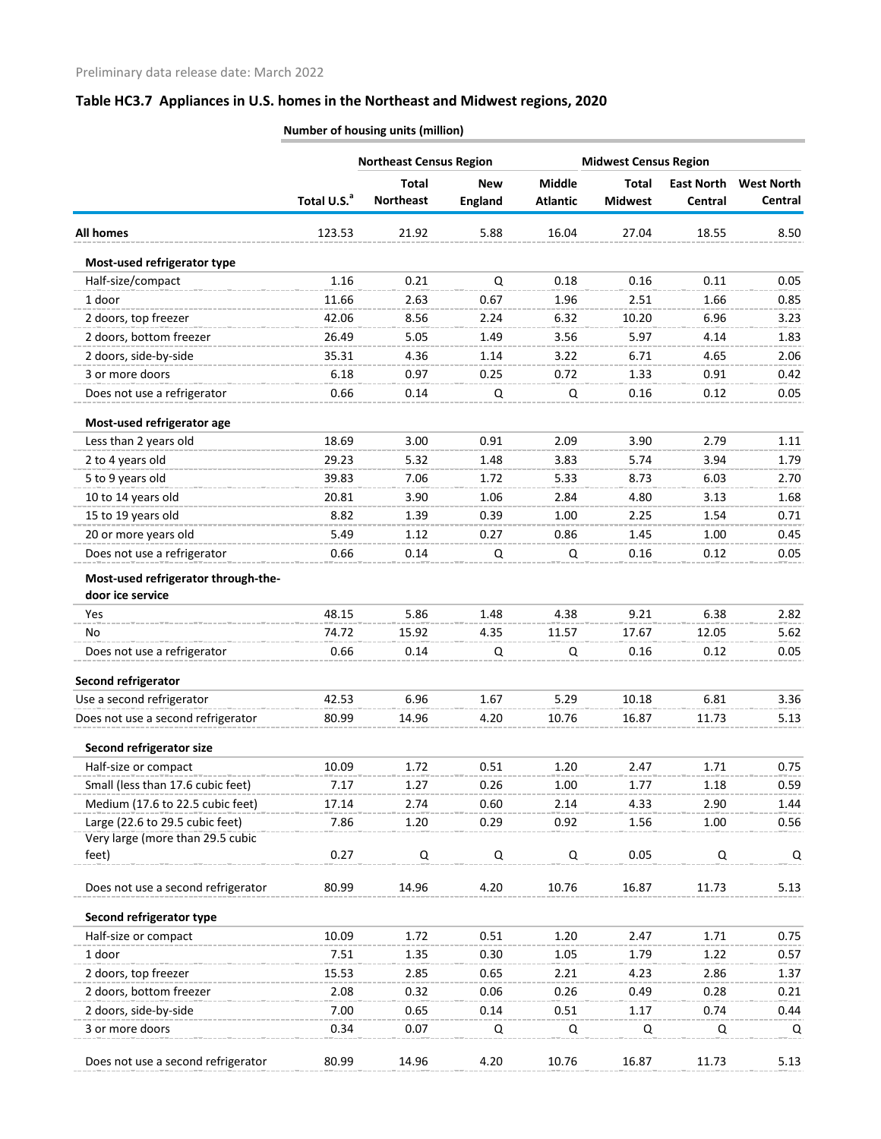|                                                         |                         | <b>Northeast Census Region</b>   |                              |                                  | <b>Midwest Census Region</b>   |                              |                              |  |
|---------------------------------------------------------|-------------------------|----------------------------------|------------------------------|----------------------------------|--------------------------------|------------------------------|------------------------------|--|
|                                                         | Total U.S. <sup>a</sup> | <b>Total</b><br><b>Northeast</b> | <b>New</b><br><b>England</b> | <b>Middle</b><br><b>Atlantic</b> | <b>Total</b><br><b>Midwest</b> | <b>East North</b><br>Central | <b>West North</b><br>Central |  |
| <b>All homes</b>                                        | 123.53                  | 21.92                            | 5.88                         | 16.04                            | 27.04                          | 18.55                        | 8.50                         |  |
| Most-used refrigerator type                             |                         |                                  |                              |                                  |                                |                              |                              |  |
| Half-size/compact                                       | 1.16                    | 0.21                             | Q                            | 0.18                             | 0.16                           | 0.11                         | 0.05                         |  |
| 1 door                                                  | 11.66                   | 2.63                             | 0.67                         | 1.96                             | 2.51                           | 1.66                         | 0.85                         |  |
| 2 doors, top freezer                                    | 42.06                   | 8.56                             | 2.24                         | 6.32                             | 10.20                          | 6.96                         | 3.23                         |  |
| 2 doors, bottom freezer                                 | 26.49                   | 5.05                             | 1.49                         | 3.56                             | 5.97                           | 4.14                         | 1.83                         |  |
| 2 doors, side-by-side                                   | 35.31                   | 4.36                             | 1.14                         | 3.22                             | 6.71                           | 4.65                         | 2.06                         |  |
| 3 or more doors                                         | 6.18                    | 0.97                             | 0.25                         | 0.72                             | 1.33                           | 0.91                         | 0.42                         |  |
| Does not use a refrigerator                             | 0.66                    | 0.14                             | Q                            | Q                                | 0.16                           | 0.12                         | 0.05                         |  |
| Most-used refrigerator age                              |                         |                                  |                              |                                  |                                |                              |                              |  |
| Less than 2 years old                                   | 18.69                   | 3.00                             | 0.91                         | 2.09                             | 3.90                           | 2.79                         | 1.11                         |  |
| 2 to 4 years old                                        | 29.23                   | 5.32                             | 1.48                         | 3.83                             | 5.74                           | 3.94                         | 1.79                         |  |
| 5 to 9 years old                                        | 39.83                   | 7.06                             | 1.72                         | 5.33                             | 8.73                           | 6.03                         | 2.70                         |  |
| 10 to 14 years old                                      | 20.81                   | 3.90                             | 1.06                         | 2.84                             | 4.80                           | 3.13                         | 1.68                         |  |
| 15 to 19 years old                                      | 8.82                    | 1.39                             | 0.39                         | 1.00                             | 2.25                           | 1.54                         | 0.71                         |  |
| 20 or more years old                                    | 5.49                    | 1.12                             | 0.27                         | 0.86                             | 1.45                           | 1.00                         | 0.45                         |  |
| Does not use a refrigerator                             | 0.66                    | 0.14                             | Q                            | Q                                | 0.16                           | 0.12                         | 0.05                         |  |
| Most-used refrigerator through-the-<br>door ice service |                         |                                  |                              |                                  |                                |                              |                              |  |
| Yes                                                     | 48.15                   | 5.86                             | 1.48                         | 4.38                             | 9.21                           | 6.38                         | 2.82                         |  |
| No                                                      | 74.72                   | 15.92                            | 4.35                         | 11.57                            | 17.67                          | 12.05                        | 5.62                         |  |
| Does not use a refrigerator                             | 0.66                    | 0.14                             | Q                            | Q                                | 0.16                           | 0.12                         | 0.05                         |  |
| Second refrigerator                                     |                         |                                  |                              |                                  |                                |                              |                              |  |
| Use a second refrigerator                               | 42.53                   | 6.96                             | 1.67                         | 5.29                             | 10.18                          | 6.81                         | 3.36                         |  |
| Does not use a second refrigerator                      | 80.99                   | 14.96                            | 4.20                         | 10.76                            | 16.87                          | 11.73                        | 5.13                         |  |
| Second refrigerator size                                |                         |                                  |                              |                                  |                                |                              |                              |  |
| Half-size or compact                                    | 10.09                   | 1.72                             | 0.51                         | 1.20                             | 2.47                           | 1.71                         | 0.75                         |  |
| Small (less than 17.6 cubic feet)                       | 7.17                    | 1.27                             | 0.26                         | 1.00                             | 1.77                           | 1.18                         | 0.59                         |  |
| Medium (17.6 to 22.5 cubic feet)                        | 17.14                   | 2.74                             | 0.60                         | 2.14                             | 4.33                           | 2.90                         | 1.44                         |  |
| Large (22.6 to 29.5 cubic feet)                         | 7.86                    | 1.20                             | 0.29                         | 0.92                             | 1.56                           | 1.00                         | 0.56                         |  |
| Very large (more than 29.5 cubic                        |                         |                                  |                              |                                  |                                |                              |                              |  |
| feet)                                                   | 0.27                    | $\mathsf Q$                      | Q                            | Q                                | 0.05                           | Q                            | Q                            |  |
| Does not use a second refrigerator                      | 80.99                   | 14.96                            | 4.20                         | 10.76                            | 16.87                          | 11.73                        | 5.13                         |  |
| Second refrigerator type                                |                         |                                  |                              |                                  |                                |                              |                              |  |
| Half-size or compact                                    | 10.09                   | 1.72                             | 0.51                         | 1.20                             | 2.47                           | 1.71                         | 0.75                         |  |
| 1 door                                                  | 7.51                    | 1.35                             | 0.30                         | 1.05                             | 1.79                           | 1.22                         | 0.57                         |  |
| 2 doors, top freezer                                    | 15.53                   | 2.85                             | 0.65                         | 2.21                             | 4.23                           | 2.86                         | 1.37                         |  |
| 2 doors, bottom freezer                                 | 2.08                    | 0.32                             | 0.06                         | 0.26                             | 0.49                           | 0.28                         | 0.21                         |  |
| 2 doors, side-by-side                                   | 7.00                    | 0.65                             | 0.14                         | 0.51                             | 1.17                           | 0.74                         | 0.44                         |  |
| 3 or more doors                                         | 0.34                    | 0.07                             | Q                            | Q                                | Q                              | Q                            | Q                            |  |
| Does not use a second refrigerator                      | 80.99                   | 14.96                            | 4.20                         | 10.76                            | 16.87                          | 11.73                        | 5.13                         |  |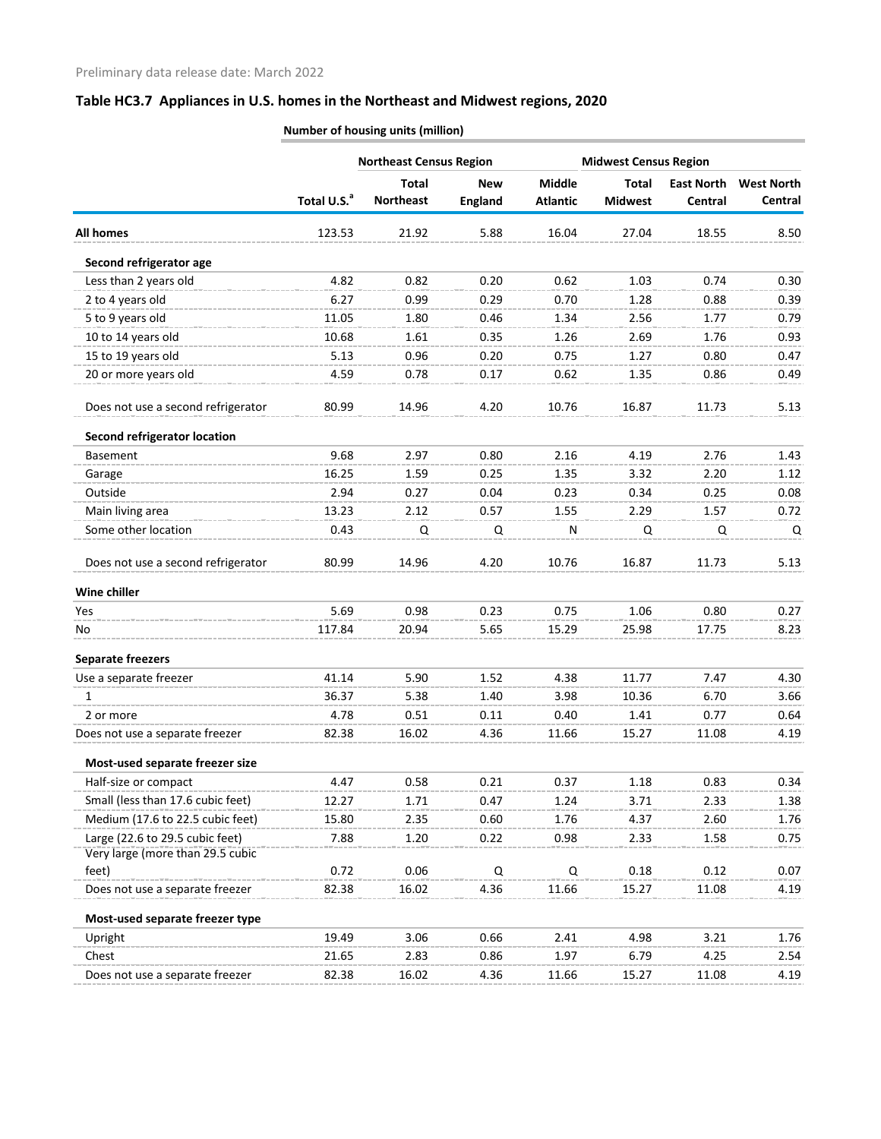|                                     |                         | <b>Northeast Census Region</b> |                |                 | <b>Midwest Census Region</b> |                   |                   |
|-------------------------------------|-------------------------|--------------------------------|----------------|-----------------|------------------------------|-------------------|-------------------|
|                                     |                         | <b>Total</b>                   | <b>New</b>     | <b>Middle</b>   | <b>Total</b>                 | <b>East North</b> | <b>West North</b> |
|                                     | Total U.S. <sup>a</sup> | <b>Northeast</b>               | <b>England</b> | <b>Atlantic</b> | <b>Midwest</b>               | Central           | Central           |
| <b>All homes</b>                    | 123.53                  | 21.92                          | 5.88           | 16.04           | 27.04                        | 18.55             | 8.50              |
| Second refrigerator age             |                         |                                |                |                 |                              |                   |                   |
| Less than 2 years old               | 4.82                    | 0.82                           | 0.20           | 0.62            | 1.03                         | 0.74              | 0.30              |
| 2 to 4 years old                    | 6.27                    | 0.99                           | 0.29           | 0.70            | 1.28                         | 0.88              | 0.39              |
| 5 to 9 years old                    | 11.05                   | 1.80                           | 0.46           | 1.34            | 2.56                         | 1.77              | 0.79              |
| 10 to 14 years old                  | 10.68                   | 1.61                           | 0.35           | 1.26            | 2.69                         | 1.76              | 0.93              |
| 15 to 19 years old                  | 5.13                    | 0.96                           | 0.20           | 0.75            | 1.27                         | 0.80              | 0.47              |
| 20 or more years old                | 4.59                    | 0.78                           | 0.17           | 0.62            | 1.35                         | 0.86              | 0.49              |
| Does not use a second refrigerator  | 80.99                   | 14.96                          | 4.20           | 10.76           | 16.87                        | 11.73             | 5.13              |
| <b>Second refrigerator location</b> |                         |                                |                |                 |                              |                   |                   |
| <b>Basement</b>                     | 9.68                    | 2.97                           | 0.80           | 2.16            | 4.19                         | 2.76              | 1.43              |
| Garage                              | 16.25                   | 1.59                           | 0.25           | 1.35            | 3.32                         | 2.20              | 1.12              |
| Outside                             | 2.94                    | 0.27                           | 0.04           | 0.23            | 0.34                         | 0.25              | 0.08              |
| Main living area                    | 13.23                   | 2.12                           | 0.57           | 1.55            | 2.29                         | 1.57              | 0.72              |
| Some other location                 | 0.43                    | Q                              | Q              | N               | Q                            | Q                 | Q                 |
| Does not use a second refrigerator  | 80.99                   | 14.96                          | 4.20           | 10.76           | 16.87                        | 11.73             | 5.13              |
| Wine chiller                        |                         |                                |                |                 |                              |                   |                   |
| Yes                                 | 5.69                    | 0.98                           | 0.23           | 0.75            | 1.06                         | 0.80              | 0.27              |
| No                                  | 117.84                  | 20.94                          | 5.65           | 15.29           | 25.98                        | 17.75             | 8.23              |
| <b>Separate freezers</b>            |                         |                                |                |                 |                              |                   |                   |
| Use a separate freezer              | 41.14                   | 5.90                           | 1.52           | 4.38            | 11.77                        | 7.47              | 4.30              |
| 1                                   | 36.37                   | 5.38                           | 1.40           | 3.98            | 10.36                        | 6.70              | 3.66              |
| 2 or more                           | 4.78                    | 0.51                           | 0.11           | 0.40            | 1.41                         | 0.77              | 0.64              |
| Does not use a separate freezer     | 82.38                   | 16.02                          | 4.36           | 11.66           | 15.27                        | 11.08             | 4.19              |
| Most-used separate freezer size     |                         |                                |                |                 |                              |                   |                   |
| Half-size or compact                | 4.47                    | 0.58                           | 0.21           | 0.37            | 1.18                         | 0.83              | 0.34              |
| Small (less than 17.6 cubic feet)   | 12.27                   | 1.71                           | 0.47           | 1.24            | 3.71                         | 2.33              | 1.38              |
| Medium (17.6 to 22.5 cubic feet)    | 15.80                   | 2.35                           | 0.60           | 1.76            | 4.37                         | 2.60              | 1.76              |
| Large (22.6 to 29.5 cubic feet)     | 7.88                    | 1.20                           | 0.22           | 0.98            | 2.33                         | 1.58              | 0.75              |
| Very large (more than 29.5 cubic    |                         |                                |                |                 |                              |                   |                   |
| feet)                               | 0.72                    | 0.06                           | Q              | Q               | 0.18                         | 0.12              | 0.07              |
| Does not use a separate freezer     | 82.38                   | 16.02                          | 4.36           | 11.66           | 15.27                        | 11.08             | 4.19              |
| Most-used separate freezer type     |                         |                                |                |                 |                              |                   |                   |
| Upright                             | 19.49                   | 3.06                           | 0.66           | 2.41            | 4.98                         | 3.21              | 1.76              |
| Chest                               | 21.65                   | 2.83                           | 0.86           | 1.97            | 6.79                         | 4.25              | 2.54              |
| Does not use a separate freezer     | 82.38                   | 16.02                          | 4.36           | 11.66           | 15.27                        | 11.08             | 4.19              |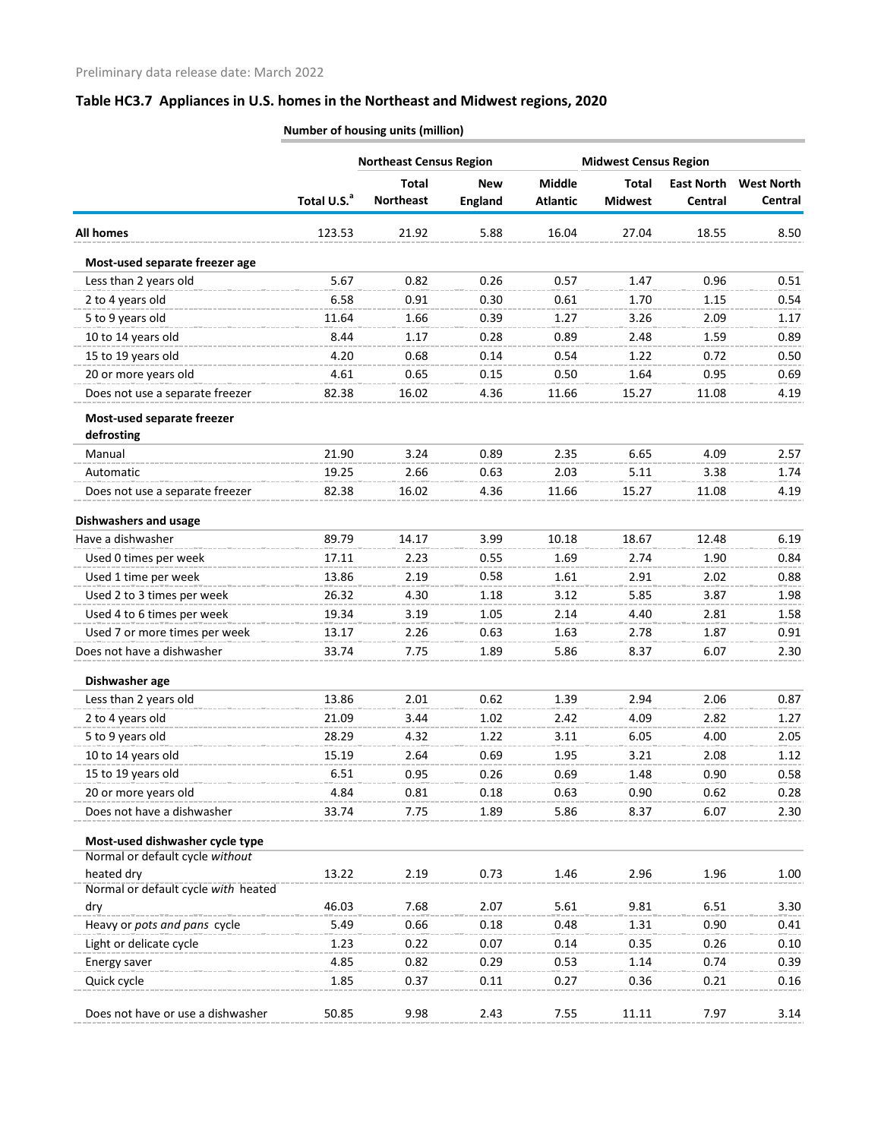|                                            | <b>Northeast Census Region</b> |                  |                |                 | <b>Midwest Census Region</b> |                   |                   |
|--------------------------------------------|--------------------------------|------------------|----------------|-----------------|------------------------------|-------------------|-------------------|
|                                            |                                | <b>Total</b>     | New            | <b>Middle</b>   | <b>Total</b>                 | <b>East North</b> | <b>West North</b> |
|                                            | Total U.S. <sup>a</sup>        | <b>Northeast</b> | <b>England</b> | <b>Atlantic</b> | <b>Midwest</b>               | Central           | Central           |
| <b>All homes</b>                           | 123.53                         | 21.92            | 5.88           | 16.04           | 27.04                        | 18.55             | 8.50              |
| Most-used separate freezer age             |                                |                  |                |                 |                              |                   |                   |
| Less than 2 years old                      | 5.67                           | 0.82             | 0.26           | 0.57            | 1.47                         | 0.96              | 0.51              |
| 2 to 4 years old                           | 6.58                           | 0.91             | 0.30           | 0.61            | 1.70                         | 1.15              | 0.54              |
| 5 to 9 years old                           | 11.64                          | 1.66             | 0.39           | 1.27            | 3.26                         | 2.09              | 1.17              |
| 10 to 14 years old                         | 8.44                           | 1.17             | 0.28           | 0.89            | 2.48                         | 1.59              | 0.89              |
| 15 to 19 years old                         | 4.20                           | 0.68             | 0.14           | 0.54            | 1.22                         | 0.72              | 0.50              |
| 20 or more years old                       | 4.61                           | 0.65             | 0.15           | 0.50            | 1.64                         | 0.95              | 0.69              |
| Does not use a separate freezer            | 82.38                          | 16.02            | 4.36           | 11.66           | 15.27                        | 11.08             | 4.19              |
| Most-used separate freezer                 |                                |                  |                |                 |                              |                   |                   |
| defrosting<br>Manual                       | 21.90                          | 3.24             | 0.89           | 2.35            | 6.65                         | 4.09              | 2.57              |
| Automatic                                  | 19.25                          | 2.66             | 0.63           | 2.03            | 5.11                         | 3.38              | 1.74              |
| Does not use a separate freezer            | 82.38                          | 16.02            | 4.36           | 11.66           | 15.27                        | 11.08             | 4.19              |
|                                            |                                |                  |                |                 |                              |                   |                   |
| <b>Dishwashers and usage</b>               |                                |                  |                |                 |                              |                   |                   |
| Have a dishwasher                          | 89.79                          | 14.17            | 3.99           | 10.18           | 18.67                        | 12.48             | 6.19              |
| Used 0 times per week                      | 17.11                          | 2.23             | 0.55           | 1.69            | 2.74                         | 1.90              | 0.84              |
| Used 1 time per week                       | 13.86                          | 2.19             | 0.58           | 1.61            | 2.91                         | 2.02              | 0.88              |
| Used 2 to 3 times per week                 | 26.32                          | 4.30             | 1.18           | 3.12            | 5.85                         | 3.87              | 1.98              |
| Used 4 to 6 times per week                 | 19.34                          | 3.19             | 1.05           | 2.14            | 4.40                         | 2.81              | 1.58              |
| Used 7 or more times per week              | 13.17                          | 2.26             | 0.63           | 1.63            | 2.78                         | 1.87              | 0.91              |
| Does not have a dishwasher                 | 33.74                          | 7.75             | 1.89           | 5.86            | 8.37                         | 6.07              | 2.30              |
| Dishwasher age                             |                                |                  |                |                 |                              |                   |                   |
| Less than 2 years old                      | 13.86                          | 2.01             | 0.62           | 1.39            | 2.94                         | 2.06              | 0.87              |
| 2 to 4 years old                           | 21.09                          | 3.44             | 1.02           | 2.42            | 4.09                         | 2.82              | 1.27              |
| 5 to 9 years old                           | 28.29                          | 4.32             | 1.22           | 3.11            | 6.05                         | 4.00              | 2.05              |
| 10 to 14 years old                         | 15.19                          | 2.64             | 0.69           | 1.95            | 3.21                         | 2.08              | 1.12              |
| 15 to 19 years old                         | 6.51                           | 0.95             | 0.26           | 0.69            | 1.48                         | 0.90              | 0.58              |
| 20 or more years old                       | 4.84                           | 0.81             | 0.18           | 0.63            | 0.90                         | 0.62              | 0.28              |
| Does not have a dishwasher                 | 33.74                          | 7.75             | 1.89           | 5.86            | 8.37                         | 6.07              | 2.30              |
| Most-used dishwasher cycle type            |                                |                  |                |                 |                              |                   |                   |
| Normal or default cycle without            |                                |                  |                |                 |                              |                   |                   |
| heated dry                                 | 13.22                          | 2.19             | 0.73           | 1.46            | 2.96                         | 1.96              | 1.00              |
| Normal or default cycle with heated<br>dry | 46.03                          | 7.68             | 2.07           | 5.61            | 9.81                         | 6.51              | 3.30              |
| Heavy or pots and pans cycle               | 5.49                           | 0.66             | 0.18           | 0.48            | 1.31                         | 0.90              | 0.41              |
| Light or delicate cycle                    | 1.23                           | 0.22             | 0.07           | 0.14            | 0.35                         | 0.26              | 0.10              |
| Energy saver                               | 4.85                           | 0.82             | 0.29           | 0.53            | 1.14                         | 0.74              | 0.39              |
| Quick cycle                                | 1.85                           | 0.37             | 0.11           | 0.27            | 0.36                         | 0.21              | 0.16              |
| Does not have or use a dishwasher          | 50.85                          | 9.98             | 2.43           | 7.55            | 11.11                        | 7.97              | 3.14              |
|                                            |                                |                  |                |                 |                              |                   |                   |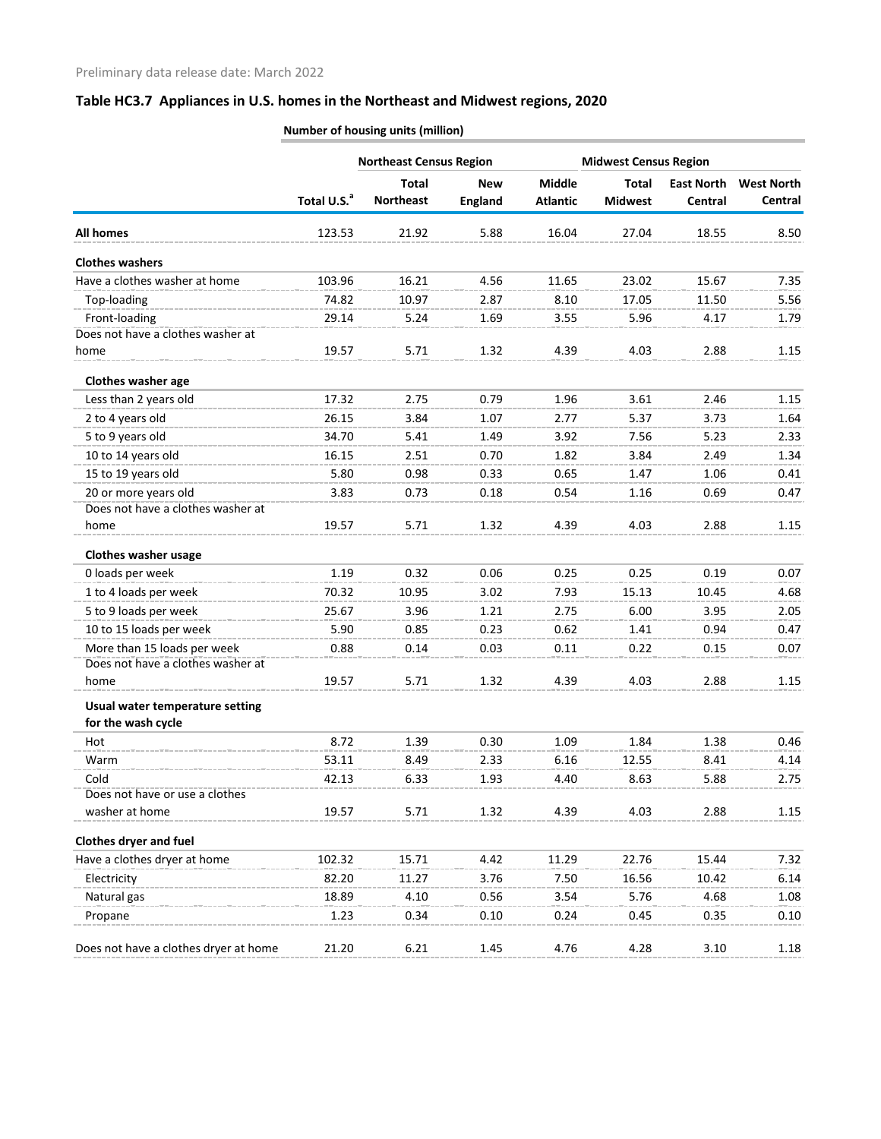| <b>Northeast Census Region</b><br><b>Middle</b><br><b>Total</b><br><b>New</b><br><b>Total</b><br><b>East North</b><br><b>West North</b><br>Total U.S. <sup>a</sup><br><b>Northeast</b><br><b>England</b><br><b>Atlantic</b><br><b>Midwest</b><br>Central<br>Central<br>16.04<br>123.53<br>21.92<br>5.88<br>27.04<br>18.55<br>8.50<br>Have a clothes washer at home<br>103.96<br>16.21<br>4.56<br>23.02<br>11.65<br>15.67<br>7.35<br>Top-loading<br>74.82<br>10.97<br>8.10<br>17.05<br>2.87<br>11.50<br>5.56<br>Front-loading<br>1.69<br>5.96<br>29.14<br>5.24<br>3.55<br>4.17<br>1.79<br>Does not have a clothes washer at<br>19.57<br>5.71<br>1.32<br>4.39<br>4.03<br>2.88<br>1.15<br>home<br>Clothes washer age<br>Less than 2 years old<br>17.32<br>2.75<br>0.79<br>1.96<br>3.61<br>2.46<br>1.15<br>2 to 4 years old<br>26.15<br>3.84<br>5.37<br>1.07<br>2.77<br>3.73<br>1.64<br>5 to 9 years old<br>34.70<br>1.49<br>3.92<br>7.56<br>5.23<br>5.41<br>2.33<br>1.82<br>3.84<br>10 to 14 years old<br>16.15<br>2.51<br>0.70<br>2.49<br>1.34<br>15 to 19 years old<br>5.80<br>0.65<br>0.98<br>0.33<br>1.47<br>1.06<br>0.41<br>20 or more years old<br>0.54<br>3.83<br>0.73<br>0.18<br>1.16<br>0.69<br>0.47<br>Does not have a clothes washer at<br>19.57<br>5.71<br>1.32<br>4.39<br>4.03<br>2.88<br>1.15<br>home<br>Clothes washer usage<br>0 loads per week<br>1.19<br>0.32<br>0.25<br>0.19<br>0.06<br>0.25<br>0.07<br>1 to 4 loads per week<br>70.32<br>10.95<br>3.02<br>7.93<br>15.13<br>10.45<br>4.68<br>5 to 9 loads per week<br>2.75<br>25.67<br>3.96<br>1.21<br>6.00<br>3.95<br>2.05<br>10 to 15 loads per week<br>5.90<br>0.23<br>0.62<br>1.41<br>0.94<br>0.85<br>0.47<br>More than 15 loads per week<br>0.88<br>0.14<br>0.03<br>0.11<br>0.22<br>0.15<br>0.07<br>Does not have a clothes washer at<br>19.57<br>5.71<br>1.32<br>4.39<br>4.03<br>2.88<br>1.15<br>home<br>Usual water temperature setting<br>for the wash cycle<br>8.72<br>0.30<br>1.09<br>1.84<br>1.38<br>1.39<br>0.46<br>Hot<br>8.49<br>2.33<br>6.16<br>12.55<br>53.11<br>8.41<br>4.14<br>Warm<br>Cold<br>42.13<br>1.93<br>4.40<br>8.63<br>5.88<br>6.33<br>2.75<br>Does not have or use a clothes<br>washer at home<br>2.88<br>19.57<br>5.71<br>1.32<br>4.39<br>4.03<br>1.15<br>Have a clothes dryer at home<br>11.29<br>22.76<br>7.32<br>102.32<br>15.71<br>4.42<br>15.44<br>Electricity<br>82.20<br>11.27<br>3.76<br>7.50<br>16.56<br>6.14<br>10.42<br>18.89<br>0.56<br>3.54<br>5.76<br>Natural gas<br>4.10<br>4.68<br>1.08<br>1.23<br>0.34<br>0.10<br>0.24<br>0.45<br>0.35<br>Propane<br>0.10 |                                       |       |      | <b>Midwest Census Region</b> |      |      |      |      |
|-------------------------------------------------------------------------------------------------------------------------------------------------------------------------------------------------------------------------------------------------------------------------------------------------------------------------------------------------------------------------------------------------------------------------------------------------------------------------------------------------------------------------------------------------------------------------------------------------------------------------------------------------------------------------------------------------------------------------------------------------------------------------------------------------------------------------------------------------------------------------------------------------------------------------------------------------------------------------------------------------------------------------------------------------------------------------------------------------------------------------------------------------------------------------------------------------------------------------------------------------------------------------------------------------------------------------------------------------------------------------------------------------------------------------------------------------------------------------------------------------------------------------------------------------------------------------------------------------------------------------------------------------------------------------------------------------------------------------------------------------------------------------------------------------------------------------------------------------------------------------------------------------------------------------------------------------------------------------------------------------------------------------------------------------------------------------------------------------------------------------------------------------------------------------------------------------------------------------------------------------------------------------------------------------------------------------------------------------------------------------------------------------------------------------------------------------------------------------------------------------------------------------------------------------------------------------|---------------------------------------|-------|------|------------------------------|------|------|------|------|
|                                                                                                                                                                                                                                                                                                                                                                                                                                                                                                                                                                                                                                                                                                                                                                                                                                                                                                                                                                                                                                                                                                                                                                                                                                                                                                                                                                                                                                                                                                                                                                                                                                                                                                                                                                                                                                                                                                                                                                                                                                                                                                                                                                                                                                                                                                                                                                                                                                                                                                                                                                         |                                       |       |      |                              |      |      |      |      |
|                                                                                                                                                                                                                                                                                                                                                                                                                                                                                                                                                                                                                                                                                                                                                                                                                                                                                                                                                                                                                                                                                                                                                                                                                                                                                                                                                                                                                                                                                                                                                                                                                                                                                                                                                                                                                                                                                                                                                                                                                                                                                                                                                                                                                                                                                                                                                                                                                                                                                                                                                                         |                                       |       |      |                              |      |      |      |      |
|                                                                                                                                                                                                                                                                                                                                                                                                                                                                                                                                                                                                                                                                                                                                                                                                                                                                                                                                                                                                                                                                                                                                                                                                                                                                                                                                                                                                                                                                                                                                                                                                                                                                                                                                                                                                                                                                                                                                                                                                                                                                                                                                                                                                                                                                                                                                                                                                                                                                                                                                                                         | <b>All homes</b>                      |       |      |                              |      |      |      |      |
|                                                                                                                                                                                                                                                                                                                                                                                                                                                                                                                                                                                                                                                                                                                                                                                                                                                                                                                                                                                                                                                                                                                                                                                                                                                                                                                                                                                                                                                                                                                                                                                                                                                                                                                                                                                                                                                                                                                                                                                                                                                                                                                                                                                                                                                                                                                                                                                                                                                                                                                                                                         | <b>Clothes washers</b>                |       |      |                              |      |      |      |      |
|                                                                                                                                                                                                                                                                                                                                                                                                                                                                                                                                                                                                                                                                                                                                                                                                                                                                                                                                                                                                                                                                                                                                                                                                                                                                                                                                                                                                                                                                                                                                                                                                                                                                                                                                                                                                                                                                                                                                                                                                                                                                                                                                                                                                                                                                                                                                                                                                                                                                                                                                                                         |                                       |       |      |                              |      |      |      |      |
|                                                                                                                                                                                                                                                                                                                                                                                                                                                                                                                                                                                                                                                                                                                                                                                                                                                                                                                                                                                                                                                                                                                                                                                                                                                                                                                                                                                                                                                                                                                                                                                                                                                                                                                                                                                                                                                                                                                                                                                                                                                                                                                                                                                                                                                                                                                                                                                                                                                                                                                                                                         |                                       |       |      |                              |      |      |      |      |
|                                                                                                                                                                                                                                                                                                                                                                                                                                                                                                                                                                                                                                                                                                                                                                                                                                                                                                                                                                                                                                                                                                                                                                                                                                                                                                                                                                                                                                                                                                                                                                                                                                                                                                                                                                                                                                                                                                                                                                                                                                                                                                                                                                                                                                                                                                                                                                                                                                                                                                                                                                         |                                       |       |      |                              |      |      |      |      |
|                                                                                                                                                                                                                                                                                                                                                                                                                                                                                                                                                                                                                                                                                                                                                                                                                                                                                                                                                                                                                                                                                                                                                                                                                                                                                                                                                                                                                                                                                                                                                                                                                                                                                                                                                                                                                                                                                                                                                                                                                                                                                                                                                                                                                                                                                                                                                                                                                                                                                                                                                                         |                                       |       |      |                              |      |      |      |      |
|                                                                                                                                                                                                                                                                                                                                                                                                                                                                                                                                                                                                                                                                                                                                                                                                                                                                                                                                                                                                                                                                                                                                                                                                                                                                                                                                                                                                                                                                                                                                                                                                                                                                                                                                                                                                                                                                                                                                                                                                                                                                                                                                                                                                                                                                                                                                                                                                                                                                                                                                                                         |                                       |       |      |                              |      |      |      |      |
|                                                                                                                                                                                                                                                                                                                                                                                                                                                                                                                                                                                                                                                                                                                                                                                                                                                                                                                                                                                                                                                                                                                                                                                                                                                                                                                                                                                                                                                                                                                                                                                                                                                                                                                                                                                                                                                                                                                                                                                                                                                                                                                                                                                                                                                                                                                                                                                                                                                                                                                                                                         |                                       |       |      |                              |      |      |      |      |
|                                                                                                                                                                                                                                                                                                                                                                                                                                                                                                                                                                                                                                                                                                                                                                                                                                                                                                                                                                                                                                                                                                                                                                                                                                                                                                                                                                                                                                                                                                                                                                                                                                                                                                                                                                                                                                                                                                                                                                                                                                                                                                                                                                                                                                                                                                                                                                                                                                                                                                                                                                         |                                       |       |      |                              |      |      |      |      |
|                                                                                                                                                                                                                                                                                                                                                                                                                                                                                                                                                                                                                                                                                                                                                                                                                                                                                                                                                                                                                                                                                                                                                                                                                                                                                                                                                                                                                                                                                                                                                                                                                                                                                                                                                                                                                                                                                                                                                                                                                                                                                                                                                                                                                                                                                                                                                                                                                                                                                                                                                                         |                                       |       |      |                              |      |      |      |      |
|                                                                                                                                                                                                                                                                                                                                                                                                                                                                                                                                                                                                                                                                                                                                                                                                                                                                                                                                                                                                                                                                                                                                                                                                                                                                                                                                                                                                                                                                                                                                                                                                                                                                                                                                                                                                                                                                                                                                                                                                                                                                                                                                                                                                                                                                                                                                                                                                                                                                                                                                                                         |                                       |       |      |                              |      |      |      |      |
|                                                                                                                                                                                                                                                                                                                                                                                                                                                                                                                                                                                                                                                                                                                                                                                                                                                                                                                                                                                                                                                                                                                                                                                                                                                                                                                                                                                                                                                                                                                                                                                                                                                                                                                                                                                                                                                                                                                                                                                                                                                                                                                                                                                                                                                                                                                                                                                                                                                                                                                                                                         |                                       |       |      |                              |      |      |      |      |
|                                                                                                                                                                                                                                                                                                                                                                                                                                                                                                                                                                                                                                                                                                                                                                                                                                                                                                                                                                                                                                                                                                                                                                                                                                                                                                                                                                                                                                                                                                                                                                                                                                                                                                                                                                                                                                                                                                                                                                                                                                                                                                                                                                                                                                                                                                                                                                                                                                                                                                                                                                         |                                       |       |      |                              |      |      |      |      |
|                                                                                                                                                                                                                                                                                                                                                                                                                                                                                                                                                                                                                                                                                                                                                                                                                                                                                                                                                                                                                                                                                                                                                                                                                                                                                                                                                                                                                                                                                                                                                                                                                                                                                                                                                                                                                                                                                                                                                                                                                                                                                                                                                                                                                                                                                                                                                                                                                                                                                                                                                                         |                                       |       |      |                              |      |      |      |      |
|                                                                                                                                                                                                                                                                                                                                                                                                                                                                                                                                                                                                                                                                                                                                                                                                                                                                                                                                                                                                                                                                                                                                                                                                                                                                                                                                                                                                                                                                                                                                                                                                                                                                                                                                                                                                                                                                                                                                                                                                                                                                                                                                                                                                                                                                                                                                                                                                                                                                                                                                                                         |                                       |       |      |                              |      |      |      |      |
|                                                                                                                                                                                                                                                                                                                                                                                                                                                                                                                                                                                                                                                                                                                                                                                                                                                                                                                                                                                                                                                                                                                                                                                                                                                                                                                                                                                                                                                                                                                                                                                                                                                                                                                                                                                                                                                                                                                                                                                                                                                                                                                                                                                                                                                                                                                                                                                                                                                                                                                                                                         |                                       |       |      |                              |      |      |      |      |
|                                                                                                                                                                                                                                                                                                                                                                                                                                                                                                                                                                                                                                                                                                                                                                                                                                                                                                                                                                                                                                                                                                                                                                                                                                                                                                                                                                                                                                                                                                                                                                                                                                                                                                                                                                                                                                                                                                                                                                                                                                                                                                                                                                                                                                                                                                                                                                                                                                                                                                                                                                         |                                       |       |      |                              |      |      |      |      |
|                                                                                                                                                                                                                                                                                                                                                                                                                                                                                                                                                                                                                                                                                                                                                                                                                                                                                                                                                                                                                                                                                                                                                                                                                                                                                                                                                                                                                                                                                                                                                                                                                                                                                                                                                                                                                                                                                                                                                                                                                                                                                                                                                                                                                                                                                                                                                                                                                                                                                                                                                                         |                                       |       |      |                              |      |      |      |      |
|                                                                                                                                                                                                                                                                                                                                                                                                                                                                                                                                                                                                                                                                                                                                                                                                                                                                                                                                                                                                                                                                                                                                                                                                                                                                                                                                                                                                                                                                                                                                                                                                                                                                                                                                                                                                                                                                                                                                                                                                                                                                                                                                                                                                                                                                                                                                                                                                                                                                                                                                                                         |                                       |       |      |                              |      |      |      |      |
|                                                                                                                                                                                                                                                                                                                                                                                                                                                                                                                                                                                                                                                                                                                                                                                                                                                                                                                                                                                                                                                                                                                                                                                                                                                                                                                                                                                                                                                                                                                                                                                                                                                                                                                                                                                                                                                                                                                                                                                                                                                                                                                                                                                                                                                                                                                                                                                                                                                                                                                                                                         |                                       |       |      |                              |      |      |      |      |
|                                                                                                                                                                                                                                                                                                                                                                                                                                                                                                                                                                                                                                                                                                                                                                                                                                                                                                                                                                                                                                                                                                                                                                                                                                                                                                                                                                                                                                                                                                                                                                                                                                                                                                                                                                                                                                                                                                                                                                                                                                                                                                                                                                                                                                                                                                                                                                                                                                                                                                                                                                         |                                       |       |      |                              |      |      |      |      |
|                                                                                                                                                                                                                                                                                                                                                                                                                                                                                                                                                                                                                                                                                                                                                                                                                                                                                                                                                                                                                                                                                                                                                                                                                                                                                                                                                                                                                                                                                                                                                                                                                                                                                                                                                                                                                                                                                                                                                                                                                                                                                                                                                                                                                                                                                                                                                                                                                                                                                                                                                                         |                                       |       |      |                              |      |      |      |      |
|                                                                                                                                                                                                                                                                                                                                                                                                                                                                                                                                                                                                                                                                                                                                                                                                                                                                                                                                                                                                                                                                                                                                                                                                                                                                                                                                                                                                                                                                                                                                                                                                                                                                                                                                                                                                                                                                                                                                                                                                                                                                                                                                                                                                                                                                                                                                                                                                                                                                                                                                                                         |                                       |       |      |                              |      |      |      |      |
|                                                                                                                                                                                                                                                                                                                                                                                                                                                                                                                                                                                                                                                                                                                                                                                                                                                                                                                                                                                                                                                                                                                                                                                                                                                                                                                                                                                                                                                                                                                                                                                                                                                                                                                                                                                                                                                                                                                                                                                                                                                                                                                                                                                                                                                                                                                                                                                                                                                                                                                                                                         |                                       |       |      |                              |      |      |      |      |
|                                                                                                                                                                                                                                                                                                                                                                                                                                                                                                                                                                                                                                                                                                                                                                                                                                                                                                                                                                                                                                                                                                                                                                                                                                                                                                                                                                                                                                                                                                                                                                                                                                                                                                                                                                                                                                                                                                                                                                                                                                                                                                                                                                                                                                                                                                                                                                                                                                                                                                                                                                         |                                       |       |      |                              |      |      |      |      |
|                                                                                                                                                                                                                                                                                                                                                                                                                                                                                                                                                                                                                                                                                                                                                                                                                                                                                                                                                                                                                                                                                                                                                                                                                                                                                                                                                                                                                                                                                                                                                                                                                                                                                                                                                                                                                                                                                                                                                                                                                                                                                                                                                                                                                                                                                                                                                                                                                                                                                                                                                                         |                                       |       |      |                              |      |      |      |      |
|                                                                                                                                                                                                                                                                                                                                                                                                                                                                                                                                                                                                                                                                                                                                                                                                                                                                                                                                                                                                                                                                                                                                                                                                                                                                                                                                                                                                                                                                                                                                                                                                                                                                                                                                                                                                                                                                                                                                                                                                                                                                                                                                                                                                                                                                                                                                                                                                                                                                                                                                                                         |                                       |       |      |                              |      |      |      |      |
|                                                                                                                                                                                                                                                                                                                                                                                                                                                                                                                                                                                                                                                                                                                                                                                                                                                                                                                                                                                                                                                                                                                                                                                                                                                                                                                                                                                                                                                                                                                                                                                                                                                                                                                                                                                                                                                                                                                                                                                                                                                                                                                                                                                                                                                                                                                                                                                                                                                                                                                                                                         |                                       |       |      |                              |      |      |      |      |
|                                                                                                                                                                                                                                                                                                                                                                                                                                                                                                                                                                                                                                                                                                                                                                                                                                                                                                                                                                                                                                                                                                                                                                                                                                                                                                                                                                                                                                                                                                                                                                                                                                                                                                                                                                                                                                                                                                                                                                                                                                                                                                                                                                                                                                                                                                                                                                                                                                                                                                                                                                         |                                       |       |      |                              |      |      |      |      |
|                                                                                                                                                                                                                                                                                                                                                                                                                                                                                                                                                                                                                                                                                                                                                                                                                                                                                                                                                                                                                                                                                                                                                                                                                                                                                                                                                                                                                                                                                                                                                                                                                                                                                                                                                                                                                                                                                                                                                                                                                                                                                                                                                                                                                                                                                                                                                                                                                                                                                                                                                                         |                                       |       |      |                              |      |      |      |      |
|                                                                                                                                                                                                                                                                                                                                                                                                                                                                                                                                                                                                                                                                                                                                                                                                                                                                                                                                                                                                                                                                                                                                                                                                                                                                                                                                                                                                                                                                                                                                                                                                                                                                                                                                                                                                                                                                                                                                                                                                                                                                                                                                                                                                                                                                                                                                                                                                                                                                                                                                                                         |                                       |       |      |                              |      |      |      |      |
|                                                                                                                                                                                                                                                                                                                                                                                                                                                                                                                                                                                                                                                                                                                                                                                                                                                                                                                                                                                                                                                                                                                                                                                                                                                                                                                                                                                                                                                                                                                                                                                                                                                                                                                                                                                                                                                                                                                                                                                                                                                                                                                                                                                                                                                                                                                                                                                                                                                                                                                                                                         | <b>Clothes dryer and fuel</b>         |       |      |                              |      |      |      |      |
|                                                                                                                                                                                                                                                                                                                                                                                                                                                                                                                                                                                                                                                                                                                                                                                                                                                                                                                                                                                                                                                                                                                                                                                                                                                                                                                                                                                                                                                                                                                                                                                                                                                                                                                                                                                                                                                                                                                                                                                                                                                                                                                                                                                                                                                                                                                                                                                                                                                                                                                                                                         |                                       |       |      |                              |      |      |      |      |
|                                                                                                                                                                                                                                                                                                                                                                                                                                                                                                                                                                                                                                                                                                                                                                                                                                                                                                                                                                                                                                                                                                                                                                                                                                                                                                                                                                                                                                                                                                                                                                                                                                                                                                                                                                                                                                                                                                                                                                                                                                                                                                                                                                                                                                                                                                                                                                                                                                                                                                                                                                         |                                       |       |      |                              |      |      |      |      |
|                                                                                                                                                                                                                                                                                                                                                                                                                                                                                                                                                                                                                                                                                                                                                                                                                                                                                                                                                                                                                                                                                                                                                                                                                                                                                                                                                                                                                                                                                                                                                                                                                                                                                                                                                                                                                                                                                                                                                                                                                                                                                                                                                                                                                                                                                                                                                                                                                                                                                                                                                                         |                                       |       |      |                              |      |      |      |      |
|                                                                                                                                                                                                                                                                                                                                                                                                                                                                                                                                                                                                                                                                                                                                                                                                                                                                                                                                                                                                                                                                                                                                                                                                                                                                                                                                                                                                                                                                                                                                                                                                                                                                                                                                                                                                                                                                                                                                                                                                                                                                                                                                                                                                                                                                                                                                                                                                                                                                                                                                                                         |                                       |       |      |                              |      |      |      |      |
|                                                                                                                                                                                                                                                                                                                                                                                                                                                                                                                                                                                                                                                                                                                                                                                                                                                                                                                                                                                                                                                                                                                                                                                                                                                                                                                                                                                                                                                                                                                                                                                                                                                                                                                                                                                                                                                                                                                                                                                                                                                                                                                                                                                                                                                                                                                                                                                                                                                                                                                                                                         | Does not have a clothes dryer at home | 21.20 | 6.21 | 1.45                         | 4.76 | 4.28 | 3.10 | 1.18 |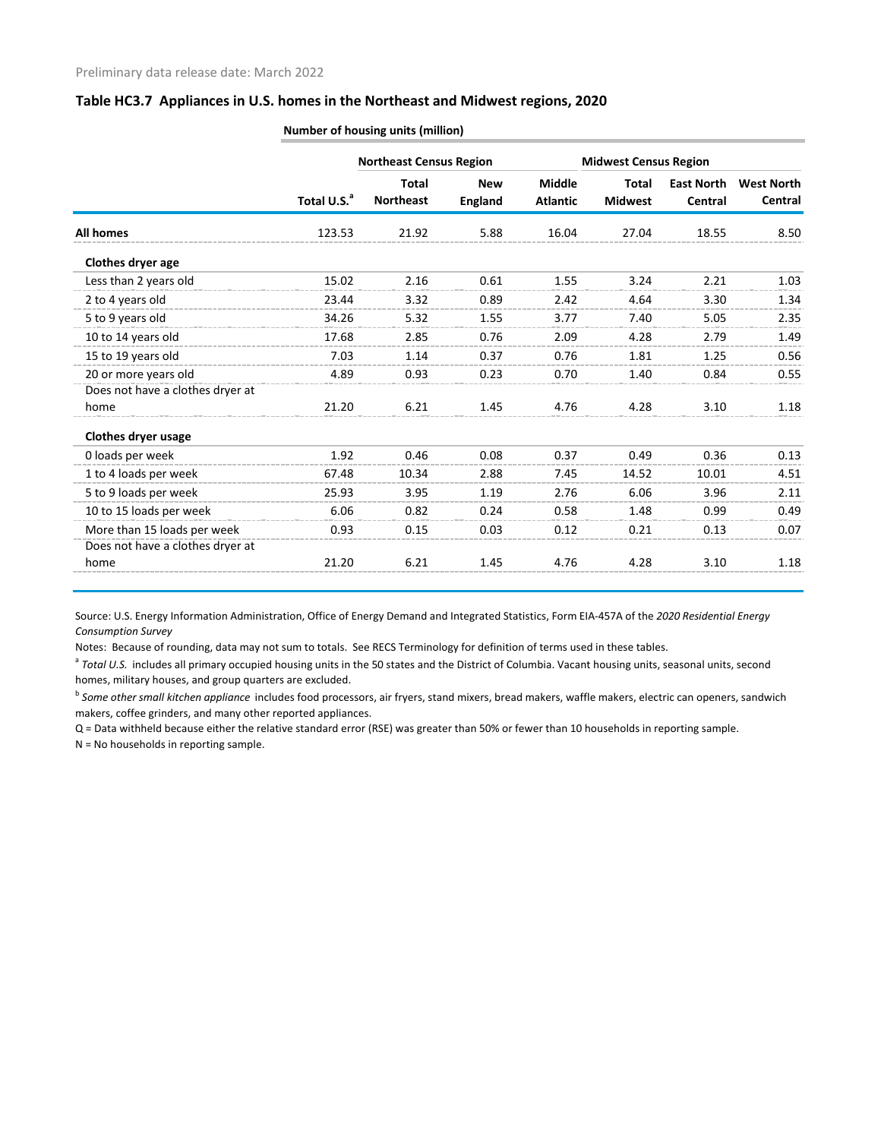|                                  |                         | <b>Northeast Census Region</b>   |                              |                                  | <b>Midwest Census Region</b>   |                              |                              |
|----------------------------------|-------------------------|----------------------------------|------------------------------|----------------------------------|--------------------------------|------------------------------|------------------------------|
|                                  | Total U.S. <sup>a</sup> | <b>Total</b><br><b>Northeast</b> | <b>New</b><br><b>England</b> | <b>Middle</b><br><b>Atlantic</b> | <b>Total</b><br><b>Midwest</b> | <b>East North</b><br>Central | <b>West North</b><br>Central |
| <b>All homes</b>                 | 123.53                  | 21.92                            | 5.88                         | 16.04                            | 27.04                          | 18.55                        | 8.50                         |
| Clothes dryer age                |                         |                                  |                              |                                  |                                |                              |                              |
| Less than 2 years old            | 15.02                   | 2.16                             | 0.61                         | 1.55                             | 3.24                           | 2.21                         | 1.03                         |
| 2 to 4 years old                 | 23.44                   | 3.32                             | 0.89                         | 2.42                             | 4.64                           | 3.30                         | 1.34                         |
| 5 to 9 years old                 | 34.26                   | 5.32                             | 1.55                         | 3.77                             | 7.40                           | 5.05                         | 2.35                         |
| 10 to 14 years old               | 17.68                   | 2.85                             | 0.76                         | 2.09                             | 4.28                           | 2.79                         | 1.49                         |
| 15 to 19 years old               | 7.03                    | 1.14                             | 0.37                         | 0.76                             | 1.81                           | 1.25                         | 0.56                         |
| 20 or more years old             | 4.89                    | 0.93                             | 0.23                         | 0.70                             | 1.40                           | 0.84                         | 0.55                         |
| Does not have a clothes dryer at |                         |                                  |                              |                                  |                                |                              |                              |
| home                             | 21.20                   | 6.21                             | 1.45                         | 4.76                             | 4.28                           | 3.10                         | 1.18                         |
| Clothes dryer usage              |                         |                                  |                              |                                  |                                |                              |                              |
| 0 loads per week                 | 1.92                    | 0.46                             | 0.08                         | 0.37                             | 0.49                           | 0.36                         | 0.13                         |
| 1 to 4 loads per week            | 67.48                   | 10.34                            | 2.88                         | 7.45                             | 14.52                          | 10.01                        | 4.51                         |
| 5 to 9 loads per week            | 25.93                   | 3.95                             | 1.19                         | 2.76                             | 6.06                           | 3.96                         | 2.11                         |
| 10 to 15 loads per week          | 6.06                    | 0.82                             | 0.24                         | 0.58                             | 1.48                           | 0.99                         | 0.49                         |
| More than 15 loads per week      | 0.93                    | 0.15                             | 0.03                         | 0.12                             | 0.21                           | 0.13                         | 0.07                         |
| Does not have a clothes dryer at |                         |                                  |                              |                                  |                                |                              |                              |
| home                             | 21.20                   | 6.21                             | 1.45                         | 4.76                             | 4.28                           | 3.10                         | 1.18                         |

**Number of housing units (million)**

Source: U.S. Energy Information Administration, Office of Energy Demand and Integrated Statistics, Form EIA-457A of the *2020 Residential Energy Consumption Survey*

Notes: Because of rounding, data may not sum to totals. See RECS Terminology for definition of terms used in these tables.

<sup>a</sup> Total U.S. includes all primary occupied housing units in the 50 states and the District of Columbia. Vacant housing units, seasonal units, second homes, military houses, and group quarters are excluded.

<sup>b</sup> Some other small kitchen appliance includes food processors, air fryers, stand mixers, bread makers, waffle makers, electric can openers, sandwich makers, coffee grinders, and many other reported appliances.

Q = Data withheld because either the relative standard error (RSE) was greater than 50% or fewer than 10 households in reporting sample.

N = No households in reporting sample.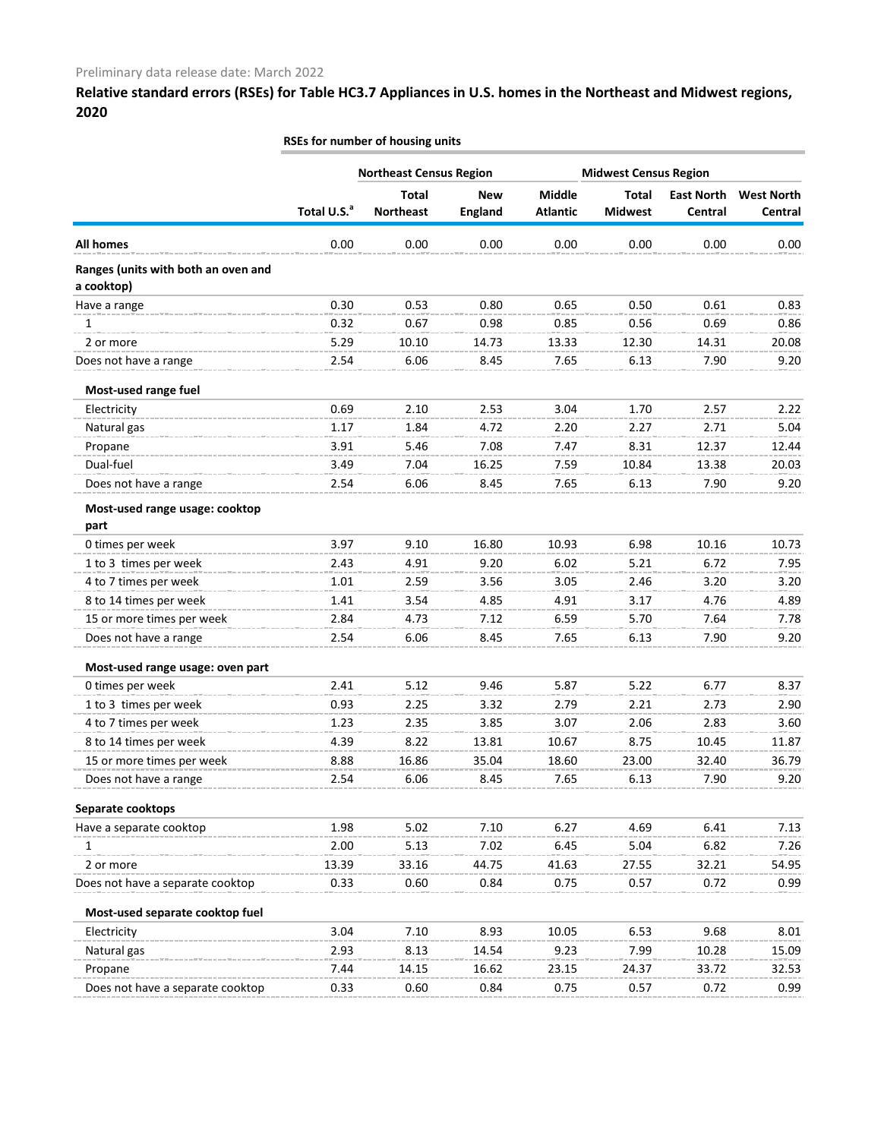|                                        |                         | RSEs for number of housing units |                              |                                  |                                |                              |                              |  |  |  |  |
|----------------------------------------|-------------------------|----------------------------------|------------------------------|----------------------------------|--------------------------------|------------------------------|------------------------------|--|--|--|--|
|                                        |                         | <b>Northeast Census Region</b>   |                              |                                  | <b>Midwest Census Region</b>   |                              |                              |  |  |  |  |
|                                        | Total U.S. <sup>a</sup> | <b>Total</b><br><b>Northeast</b> | <b>New</b><br><b>England</b> | <b>Middle</b><br><b>Atlantic</b> | <b>Total</b><br><b>Midwest</b> | <b>East North</b><br>Central | <b>West North</b><br>Central |  |  |  |  |
| <b>All homes</b>                       | 0.00                    | 0.00                             | 0.00                         | 0.00                             | 0.00                           | 0.00                         | 0.00                         |  |  |  |  |
| Ranges (units with both an oven and    |                         |                                  |                              |                                  |                                |                              |                              |  |  |  |  |
| a cooktop)                             |                         |                                  |                              |                                  |                                |                              |                              |  |  |  |  |
| Have a range                           | 0.30                    | 0.53                             | 0.80                         | 0.65                             | 0.50                           | 0.61                         | 0.83                         |  |  |  |  |
| 1                                      | 0.32                    | 0.67                             | 0.98                         | 0.85                             | 0.56                           | 0.69                         | 0.86                         |  |  |  |  |
| 2 or more                              | 5.29                    | 10.10                            | 14.73                        | 13.33                            | 12.30                          | 14.31                        | 20.08                        |  |  |  |  |
| Does not have a range                  | 2.54                    | 6.06                             | 8.45                         | 7.65                             | 6.13                           | 7.90                         | 9.20                         |  |  |  |  |
| Most-used range fuel                   |                         |                                  |                              |                                  |                                |                              |                              |  |  |  |  |
| Electricity                            | 0.69                    | 2.10                             | 2.53                         | 3.04                             | 1.70                           | 2.57                         | 2.22                         |  |  |  |  |
| Natural gas                            | 1.17                    | 1.84                             | 4.72                         | 2.20                             | 2.27                           | 2.71                         | 5.04                         |  |  |  |  |
| Propane                                | 3.91                    | 5.46                             | 7.08                         | 7.47                             | 8.31                           | 12.37                        | 12.44                        |  |  |  |  |
| Dual-fuel                              | 3.49                    | 7.04                             | 16.25                        | 7.59                             | 10.84                          | 13.38                        | 20.03                        |  |  |  |  |
| Does not have a range                  | 2.54                    | 6.06                             | 8.45                         | 7.65                             | 6.13                           | 7.90                         | 9.20                         |  |  |  |  |
| Most-used range usage: cooktop<br>part |                         |                                  |                              |                                  |                                |                              |                              |  |  |  |  |
| 0 times per week                       | 3.97                    | 9.10                             | 16.80                        | 10.93                            | 6.98                           | 10.16                        | 10.73                        |  |  |  |  |
| 1 to 3 times per week                  | 2.43                    | 4.91                             | 9.20                         | 6.02                             | 5.21                           | 6.72                         | 7.95                         |  |  |  |  |
| 4 to 7 times per week                  | 1.01                    | 2.59                             | 3.56                         | 3.05                             | 2.46                           | 3.20                         | 3.20                         |  |  |  |  |
| 8 to 14 times per week                 | 1.41                    | 3.54                             | 4.85                         | 4.91                             | 3.17                           | 4.76                         | 4.89                         |  |  |  |  |
| 15 or more times per week              | 2.84                    | 4.73                             | 7.12                         | 6.59                             | 5.70                           | 7.64                         | 7.78                         |  |  |  |  |
| Does not have a range                  | 2.54                    | 6.06                             | 8.45                         | 7.65                             | 6.13                           | 7.90                         | 9.20                         |  |  |  |  |
| Most-used range usage: oven part       |                         |                                  |                              |                                  |                                |                              |                              |  |  |  |  |
| 0 times per week                       | 2.41                    | 5.12                             | 9.46                         | 5.87                             | 5.22                           | 6.77                         | 8.37                         |  |  |  |  |
| 1 to 3 times per week                  | 0.93                    | 2.25                             | 3.32                         | 2.79                             | 2.21                           | 2.73                         | 2.90                         |  |  |  |  |
| 4 to 7 times per week                  | 1.23                    | 2.35                             | 3.85                         | 3.07                             | 2.06                           | 2.83                         | 3.60                         |  |  |  |  |
| 8 to 14 times per week                 | 4.39                    | 8.22                             | 13.81                        | 10.67                            | 8.75                           | 10.45                        | 11.87                        |  |  |  |  |
| 15 or more times per week              | 8.88                    | 16.86                            | 35.04                        | 18.60                            | 23.00                          | 32.40                        | 36.79                        |  |  |  |  |
| Does not have a range                  | 2.54                    | 6.06                             | 8.45                         | 7.65                             | 6.13                           | 7.90                         | 9.20                         |  |  |  |  |
| Separate cooktops                      |                         |                                  |                              |                                  |                                |                              |                              |  |  |  |  |
| Have a separate cooktop                | 1.98                    | 5.02                             | 7.10                         | 6.27                             | 4.69                           | 6.41                         | 7.13                         |  |  |  |  |
| 1                                      | 2.00                    | 5.13                             | 7.02                         | 6.45                             | 5.04                           | 6.82                         | 7.26                         |  |  |  |  |
| 2 or more                              | 13.39                   | 33.16                            | 44.75                        | 41.63                            | 27.55                          | 32.21                        | 54.95                        |  |  |  |  |
| Does not have a separate cooktop       | 0.33                    | 0.60                             | 0.84                         | 0.75                             | 0.57                           | 0.72                         | 0.99                         |  |  |  |  |
| Most-used separate cooktop fuel        |                         |                                  |                              |                                  |                                |                              |                              |  |  |  |  |
| Electricity                            | 3.04                    | 7.10                             | 8.93                         | 10.05                            | 6.53                           | 9.68                         | 8.01                         |  |  |  |  |
| Natural gas                            | 2.93                    | 8.13                             | 14.54                        | 9.23                             | 7.99                           | 10.28                        | 15.09                        |  |  |  |  |
| Propane                                | 7.44                    | 14.15                            | 16.62                        | 23.15                            | 24.37                          | 33.72                        | 32.53                        |  |  |  |  |
| Does not have a separate cooktop       | 0.33                    | 0.60                             | 0.84                         | 0.75                             | 0.57                           | 0.72                         | 0.99                         |  |  |  |  |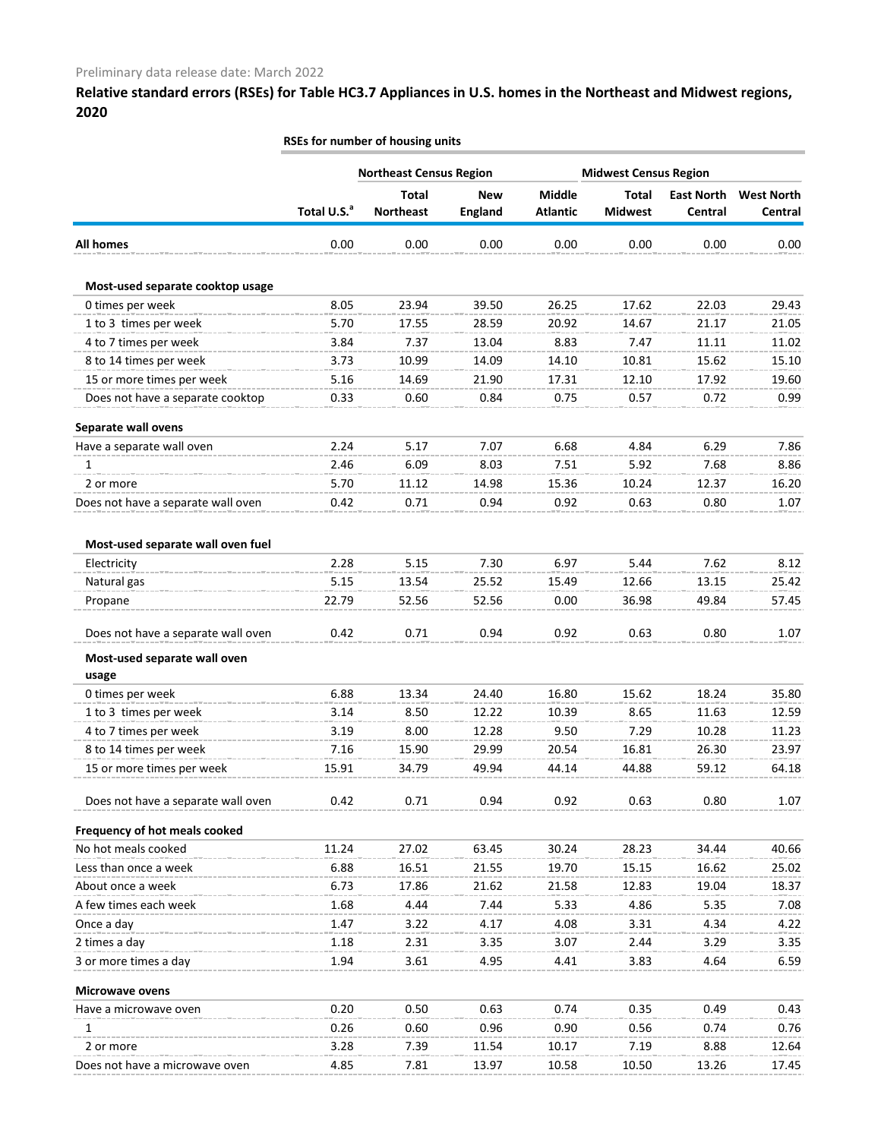|                                    |                         | <b>RSEs for number of housing units</b> |                              |                           |                                |                              |                              |
|------------------------------------|-------------------------|-----------------------------------------|------------------------------|---------------------------|--------------------------------|------------------------------|------------------------------|
|                                    |                         | <b>Northeast Census Region</b>          |                              |                           | <b>Midwest Census Region</b>   |                              |                              |
|                                    | Total U.S. <sup>a</sup> | <b>Total</b><br><b>Northeast</b>        | <b>New</b><br><b>England</b> | Middle<br><b>Atlantic</b> | <b>Total</b><br><b>Midwest</b> | <b>East North</b><br>Central | <b>West North</b><br>Central |
| <b>All homes</b>                   | 0.00                    | 0.00                                    | 0.00                         | 0.00                      | 0.00                           | 0.00                         | 0.00                         |
| Most-used separate cooktop usage   |                         |                                         |                              |                           |                                |                              |                              |
| 0 times per week                   | 8.05                    | 23.94                                   | 39.50                        | 26.25                     | 17.62                          | 22.03                        | 29.43                        |
| 1 to 3 times per week              | 5.70                    | 17.55                                   | 28.59                        | 20.92                     | 14.67                          | 21.17                        | 21.05                        |
| 4 to 7 times per week              | 3.84                    | 7.37                                    | 13.04                        | 8.83                      | 7.47                           | 11.11                        | 11.02                        |
| 8 to 14 times per week             | 3.73                    | 10.99                                   | 14.09                        | 14.10                     | 10.81                          | 15.62                        | 15.10                        |
| 15 or more times per week          | 5.16                    | 14.69                                   | 21.90                        | 17.31                     | 12.10                          | 17.92                        | 19.60                        |
| Does not have a separate cooktop   | 0.33                    | 0.60                                    | 0.84                         | 0.75                      | 0.57                           | 0.72                         | 0.99                         |
| Separate wall ovens                |                         |                                         |                              |                           |                                |                              |                              |
| Have a separate wall oven          | 2.24                    | 5.17                                    | 7.07                         | 6.68                      | 4.84                           | 6.29                         | 7.86                         |
| 1                                  | 2.46                    | 6.09                                    | 8.03                         | 7.51                      | 5.92                           | 7.68                         | 8.86                         |
| 2 or more                          | 5.70                    | 11.12                                   | 14.98                        | 15.36                     | 10.24                          | 12.37                        | 16.20                        |
| Does not have a separate wall oven | 0.42                    | 0.71                                    | 0.94                         | 0.92                      | 0.63                           | 0.80                         | 1.07                         |
| Most-used separate wall oven fuel  |                         |                                         |                              |                           |                                |                              |                              |
| Electricity                        | 2.28                    | 5.15                                    | 7.30                         | 6.97                      | 5.44                           | 7.62                         | 8.12                         |
| Natural gas                        | 5.15                    | 13.54                                   | 25.52                        | 15.49                     | 12.66                          | 13.15                        | 25.42                        |
| Propane                            | 22.79                   | 52.56                                   | 52.56                        | 0.00                      | 36.98                          | 49.84                        | 57.45                        |
| Does not have a separate wall oven | 0.42                    | 0.71                                    | 0.94                         | 0.92                      | 0.63                           | 0.80                         | 1.07                         |
| Most-used separate wall oven       |                         |                                         |                              |                           |                                |                              |                              |
| usage                              |                         |                                         |                              |                           |                                |                              |                              |
| 0 times per week                   | 6.88                    | 13.34                                   | 24.40                        | 16.80                     | 15.62                          | 18.24                        | 35.80                        |
| 1 to 3 times per week              | 3.14                    | 8.50                                    | 12.22                        | 10.39                     | 8.65                           | 11.63                        | 12.59                        |
| 4 to 7 times per week              | 3.19                    | 8.00                                    | 12.28                        | 9.50                      | 7.29                           | 10.28                        | 11.23                        |
| 8 to 14 times per week             | 7.16                    | 15.90                                   | 29.99                        | 20.54                     | 16.81                          | 26.30                        | 23.97                        |
| 15 or more times per week          | 15.91                   | 34.79                                   | 49.94                        | 44.14                     | 44.88                          | 59.12                        | 64.18                        |
| Does not have a separate wall oven | 0.42                    | 0.71                                    | 0.94                         | 0.92                      | 0.63                           | 0.80                         | 1.07                         |
| Frequency of hot meals cooked      |                         |                                         |                              |                           |                                |                              |                              |
| No hot meals cooked                | 11.24                   | 27.02                                   | 63.45                        | 30.24                     | 28.23                          | 34.44                        | 40.66                        |
| Less than once a week              | 6.88                    | 16.51                                   | 21.55                        | 19.70                     | 15.15                          | 16.62                        | 25.02                        |
| About once a week                  | 6.73                    | 17.86                                   | 21.62                        | 21.58                     | 12.83                          | 19.04                        | 18.37                        |
| A few times each week              | 1.68                    | 4.44                                    | 7.44                         | 5.33                      | 4.86                           | 5.35                         | 7.08                         |
| Once a day                         | 1.47                    | 3.22                                    | 4.17                         | 4.08                      | 3.31                           | 4.34                         | 4.22                         |
| 2 times a day                      | 1.18                    | 2.31                                    | 3.35                         | 3.07                      | 2.44                           | 3.29                         | 3.35                         |
| 3 or more times a day              | 1.94                    | 3.61                                    | 4.95                         | 4.41                      | 3.83                           | 4.64                         | 6.59                         |
| <b>Microwave ovens</b>             |                         |                                         |                              |                           |                                |                              |                              |
| Have a microwave oven              | 0.20                    | 0.50                                    | 0.63                         | 0.74                      | 0.35                           | 0.49                         | 0.43                         |
| 1                                  | 0.26                    | 0.60                                    | 0.96                         | 0.90                      | 0.56                           | 0.74                         | 0.76                         |
| 2 or more                          | 3.28                    | 7.39                                    | 11.54                        | 10.17                     | 7.19                           | 8.88                         | 12.64                        |

Does not have a microwave oven **4.85** 7.81 13.97 10.58 10.50 13.26 17.45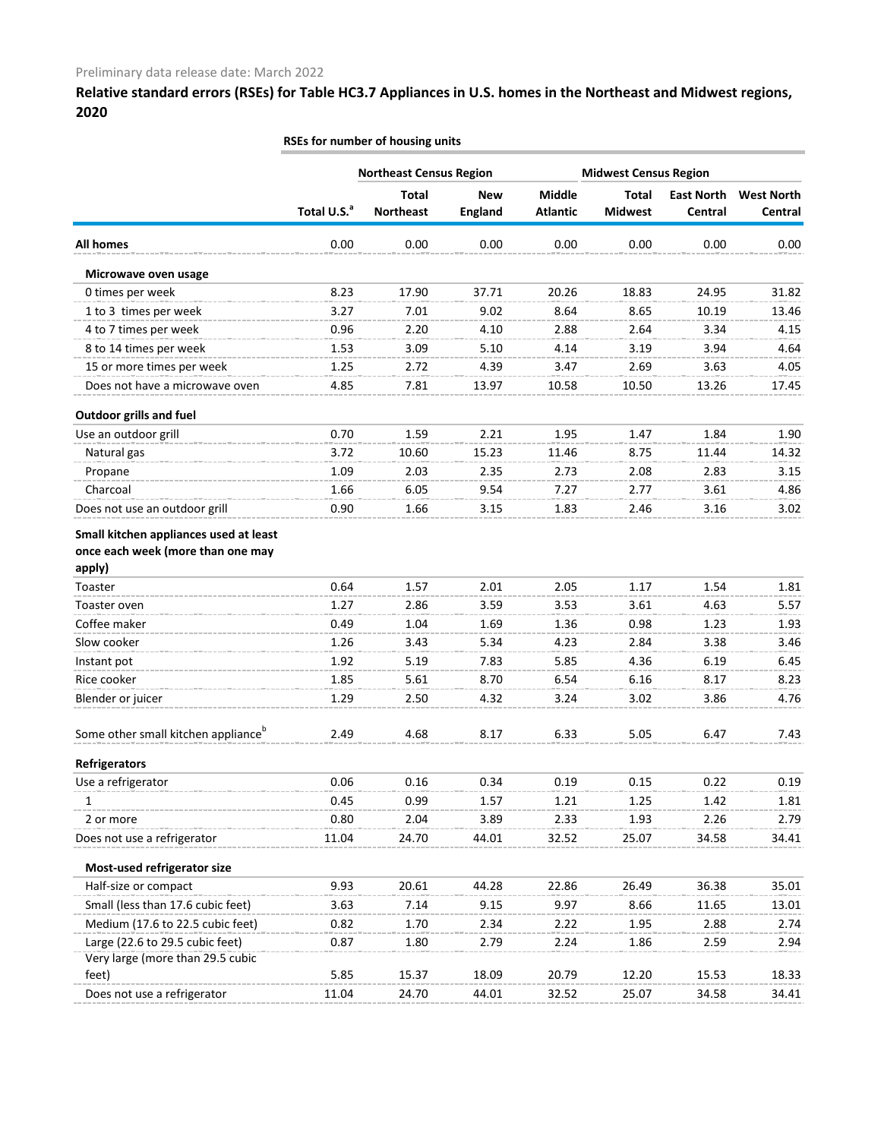|                                                                                       |                         | RSEs for number of housing units |                              |                           |                                |                              |                                     |  |  |  |
|---------------------------------------------------------------------------------------|-------------------------|----------------------------------|------------------------------|---------------------------|--------------------------------|------------------------------|-------------------------------------|--|--|--|
|                                                                                       |                         | <b>Northeast Census Region</b>   |                              |                           | <b>Midwest Census Region</b>   |                              |                                     |  |  |  |
|                                                                                       | Total U.S. <sup>a</sup> | <b>Total</b><br><b>Northeast</b> | <b>New</b><br><b>England</b> | Middle<br><b>Atlantic</b> | <b>Total</b><br><b>Midwest</b> | <b>East North</b><br>Central | <b>West North</b><br><b>Central</b> |  |  |  |
| <b>All homes</b>                                                                      | 0.00                    | 0.00                             | 0.00                         | 0.00                      | 0.00                           | 0.00                         | 0.00                                |  |  |  |
| Microwave oven usage                                                                  |                         |                                  |                              |                           |                                |                              |                                     |  |  |  |
| 0 times per week                                                                      | 8.23                    | 17.90                            | 37.71                        | 20.26                     | 18.83                          | 24.95                        | 31.82                               |  |  |  |
| 1 to 3 times per week                                                                 | 3.27                    | 7.01                             | 9.02                         | 8.64                      | 8.65                           | 10.19                        | 13.46                               |  |  |  |
| 4 to 7 times per week                                                                 | 0.96                    | 2.20                             | 4.10                         | 2.88                      | 2.64                           | 3.34                         | 4.15                                |  |  |  |
| 8 to 14 times per week                                                                | 1.53                    | 3.09                             | 5.10                         | 4.14                      | 3.19                           | 3.94                         | 4.64                                |  |  |  |
| 15 or more times per week                                                             | 1.25                    | 2.72                             | 4.39                         | 3.47                      | 2.69                           | 3.63                         | 4.05                                |  |  |  |
| Does not have a microwave oven                                                        | 4.85                    | 7.81                             | 13.97                        | 10.58                     | 10.50                          | 13.26                        | 17.45                               |  |  |  |
| <b>Outdoor grills and fuel</b>                                                        |                         |                                  |                              |                           |                                |                              |                                     |  |  |  |
| Use an outdoor grill                                                                  | 0.70                    | 1.59                             | 2.21                         | 1.95                      | 1.47                           | 1.84                         | 1.90                                |  |  |  |
| Natural gas                                                                           | 3.72                    | 10.60                            | 15.23                        | 11.46                     | 8.75                           | 11.44                        | 14.32                               |  |  |  |
| Propane                                                                               | 1.09                    | 2.03                             | 2.35                         | 2.73                      | 2.08                           | 2.83                         | 3.15                                |  |  |  |
| Charcoal                                                                              | 1.66                    | 6.05                             | 9.54                         | 7.27                      | 2.77                           | 3.61                         | 4.86                                |  |  |  |
| Does not use an outdoor grill                                                         | 0.90                    | 1.66                             | 3.15                         | 1.83                      | 2.46                           | 3.16                         | 3.02                                |  |  |  |
| Small kitchen appliances used at least<br>once each week (more than one may<br>apply) |                         |                                  |                              |                           |                                |                              |                                     |  |  |  |
| Toaster                                                                               | 0.64                    | 1.57                             | 2.01                         | 2.05                      | 1.17                           | 1.54                         | 1.81                                |  |  |  |
| Toaster oven                                                                          | 1.27                    | 2.86                             | 3.59                         | 3.53                      | 3.61                           | 4.63                         | 5.57                                |  |  |  |
| Coffee maker                                                                          | 0.49                    | 1.04                             | 1.69                         | 1.36                      | 0.98                           | 1.23                         | 1.93                                |  |  |  |
| Slow cooker                                                                           | 1.26                    | 3.43                             | 5.34                         | 4.23                      | 2.84                           | 3.38                         | 3.46                                |  |  |  |
| Instant pot                                                                           | 1.92                    | 5.19                             | 7.83                         | 5.85                      | 4.36                           | 6.19                         | 6.45                                |  |  |  |
| Rice cooker                                                                           | 1.85                    | 5.61                             | 8.70                         | 6.54                      | 6.16                           | 8.17                         | 8.23                                |  |  |  |
| Blender or juicer                                                                     | 1.29                    | 2.50                             | 4.32                         | 3.24                      | 3.02                           | 3.86                         | 4.76                                |  |  |  |
| Some other small kitchen appliance <sup>b</sup>                                       | 2.49                    | 4.68                             | 8.17                         | 6.33                      | 5.05                           | 6.47                         | 7.43                                |  |  |  |
| <b>Refrigerators</b>                                                                  |                         |                                  |                              |                           |                                |                              |                                     |  |  |  |
| Use a refrigerator                                                                    | 0.06                    | 0.16                             | 0.34                         | 0.19                      | 0.15                           | 0.22                         | 0.19                                |  |  |  |
| 1                                                                                     | 0.45                    | 0.99                             | 1.57                         | 1.21                      | 1.25                           | 1.42                         | 1.81                                |  |  |  |
| 2 or more                                                                             | 0.80                    | 2.04                             | 3.89                         | 2.33                      | 1.93                           | 2.26                         | 2.79                                |  |  |  |
| Does not use a refrigerator                                                           | 11.04                   | 24.70                            | 44.01                        | 32.52                     | 25.07                          | 34.58                        | 34.41                               |  |  |  |
| Most-used refrigerator size                                                           |                         |                                  |                              |                           |                                |                              |                                     |  |  |  |
| Half-size or compact                                                                  | 9.93                    | 20.61                            | 44.28                        | 22.86                     | 26.49                          | 36.38                        | 35.01                               |  |  |  |
| Small (less than 17.6 cubic feet)                                                     | 3.63                    | 7.14                             | 9.15                         | 9.97                      | 8.66                           | 11.65                        | 13.01                               |  |  |  |
| Medium (17.6 to 22.5 cubic feet)                                                      | 0.82                    | 1.70                             | 2.34                         | 2.22                      | 1.95                           | 2.88                         | 2.74                                |  |  |  |
| Large (22.6 to 29.5 cubic feet)                                                       | 0.87                    | 1.80                             | 2.79                         | 2.24                      | 1.86                           | 2.59                         | 2.94                                |  |  |  |
| Very large (more than 29.5 cubic                                                      |                         |                                  |                              |                           |                                |                              |                                     |  |  |  |
| feet)                                                                                 | 5.85                    | 15.37                            | 18.09                        | 20.79                     | 12.20                          | 15.53                        | 18.33                               |  |  |  |
| Does not use a refrigerator                                                           | 11.04                   | 24.70                            | 44.01                        | 32.52                     | 25.07                          | 34.58                        | 34.41                               |  |  |  |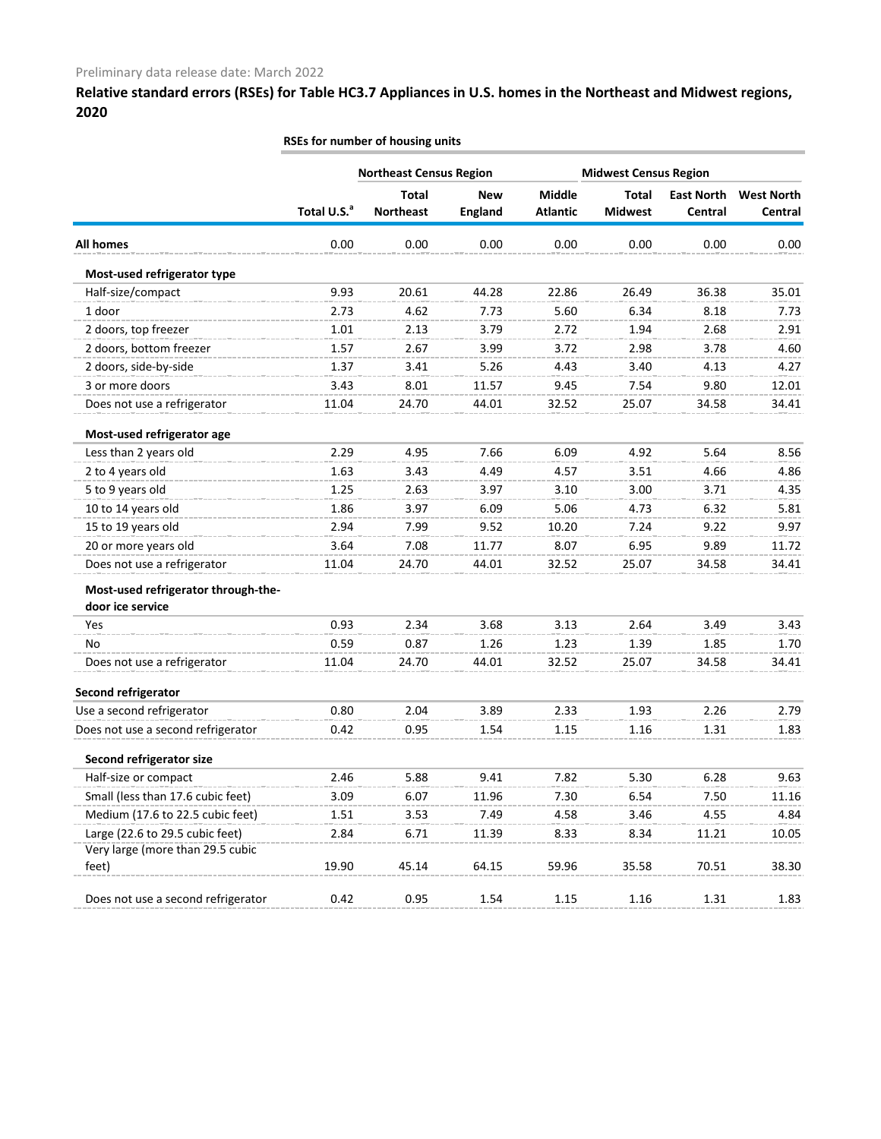|                                                         | RSEs for number of housing units |                                  |                              |                                  |                                |                              |                              |  |  |  |  |
|---------------------------------------------------------|----------------------------------|----------------------------------|------------------------------|----------------------------------|--------------------------------|------------------------------|------------------------------|--|--|--|--|
|                                                         |                                  | <b>Northeast Census Region</b>   |                              |                                  | <b>Midwest Census Region</b>   |                              |                              |  |  |  |  |
|                                                         | Total U.S. <sup>a</sup>          | <b>Total</b><br><b>Northeast</b> | <b>New</b><br><b>England</b> | <b>Middle</b><br><b>Atlantic</b> | <b>Total</b><br><b>Midwest</b> | <b>East North</b><br>Central | <b>West North</b><br>Central |  |  |  |  |
| <b>All homes</b>                                        | 0.00                             | 0.00                             | 0.00                         | 0.00                             | 0.00                           | 0.00                         | 0.00                         |  |  |  |  |
| Most-used refrigerator type                             |                                  |                                  |                              |                                  |                                |                              |                              |  |  |  |  |
| Half-size/compact                                       | 9.93                             | 20.61                            | 44.28                        | 22.86                            | 26.49                          | 36.38                        | 35.01                        |  |  |  |  |
| 1 door                                                  | 2.73                             | 4.62                             | 7.73                         | 5.60                             | 6.34                           | 8.18                         | 7.73                         |  |  |  |  |
| 2 doors, top freezer                                    | 1.01                             | 2.13                             | 3.79                         | 2.72                             | 1.94                           | 2.68                         | 2.91                         |  |  |  |  |
| 2 doors, bottom freezer                                 | 1.57                             | 2.67                             | 3.99                         | 3.72                             | 2.98                           | 3.78                         | 4.60                         |  |  |  |  |
| 2 doors, side-by-side                                   | 1.37                             | 3.41                             | 5.26                         | 4.43                             | 3.40                           | 4.13                         | 4.27                         |  |  |  |  |
| 3 or more doors                                         | 3.43                             | 8.01                             | 11.57                        | 9.45                             | 7.54                           | 9.80                         | 12.01                        |  |  |  |  |
| Does not use a refrigerator                             | 11.04                            | 24.70                            | 44.01                        | 32.52                            | 25.07                          | 34.58                        | 34.41                        |  |  |  |  |
| Most-used refrigerator age                              |                                  |                                  |                              |                                  |                                |                              |                              |  |  |  |  |
| Less than 2 years old                                   | 2.29                             | 4.95                             | 7.66                         | 6.09                             | 4.92                           | 5.64                         | 8.56                         |  |  |  |  |
| 2 to 4 years old                                        | 1.63                             | 3.43                             | 4.49                         | 4.57                             | 3.51                           | 4.66                         | 4.86                         |  |  |  |  |
| 5 to 9 years old                                        | 1.25                             | 2.63                             | 3.97                         | 3.10                             | 3.00                           | 3.71                         | 4.35                         |  |  |  |  |
| 10 to 14 years old                                      | 1.86                             | 3.97                             | 6.09                         | 5.06                             | 4.73                           | 6.32                         | 5.81                         |  |  |  |  |
| 15 to 19 years old                                      | 2.94                             | 7.99                             | 9.52                         | 10.20                            | 7.24                           | 9.22                         | 9.97                         |  |  |  |  |
| 20 or more years old                                    | 3.64                             | 7.08                             | 11.77                        | 8.07                             | 6.95                           | 9.89                         | 11.72                        |  |  |  |  |
| Does not use a refrigerator                             | 11.04                            | 24.70                            | 44.01                        | 32.52                            | 25.07                          | 34.58                        | 34.41                        |  |  |  |  |
| Most-used refrigerator through-the-<br>door ice service |                                  |                                  |                              |                                  |                                |                              |                              |  |  |  |  |
| Yes                                                     | 0.93                             | 2.34                             | 3.68                         | 3.13                             | 2.64                           | 3.49                         | 3.43                         |  |  |  |  |
| No                                                      | 0.59                             | 0.87                             | 1.26                         | 1.23                             | 1.39                           | 1.85                         | 1.70                         |  |  |  |  |
| Does not use a refrigerator                             | 11.04                            | 24.70                            | 44.01                        | 32.52                            | 25.07                          | 34.58                        | 34.41                        |  |  |  |  |
| Second refrigerator                                     |                                  |                                  |                              |                                  |                                |                              |                              |  |  |  |  |
| Use a second refrigerator                               | 0.80                             | 2.04                             | 3.89                         | 2.33                             | 1.93                           | 2.26                         | 2.79                         |  |  |  |  |
| Does not use a second refrigerator                      | 0.42                             | 0.95                             | 1.54                         | 1.15                             | 1.16                           | 1.31                         | 1.83                         |  |  |  |  |
| Second refrigerator size                                |                                  |                                  |                              |                                  |                                |                              |                              |  |  |  |  |
| Half-size or compact                                    | 2.46                             | 5.88                             | 9.41                         | 7.82                             | 5.30                           | 6.28                         | 9.63                         |  |  |  |  |
| Small (less than 17.6 cubic feet)                       | 3.09                             | 6.07                             | 11.96                        | 7.30                             | 6.54                           | 7.50                         | 11.16                        |  |  |  |  |
| Medium (17.6 to 22.5 cubic feet)                        | 1.51                             | 3.53                             | 7.49                         | 4.58                             | 3.46                           | 4.55                         | 4.84                         |  |  |  |  |
| Large (22.6 to 29.5 cubic feet)                         | 2.84                             | 6.71                             | 11.39                        | 8.33                             | 8.34                           | 11.21                        | 10.05                        |  |  |  |  |
| Very large (more than 29.5 cubic                        |                                  |                                  |                              |                                  |                                |                              |                              |  |  |  |  |
| feet)                                                   | 19.90                            | 45.14                            | 64.15                        | 59.96                            | 35.58                          | 70.51                        | 38.30                        |  |  |  |  |
| Does not use a second refrigerator                      | 0.42                             | 0.95                             | 1.54                         | 1.15                             | 1.16                           | 1.31                         | 1.83                         |  |  |  |  |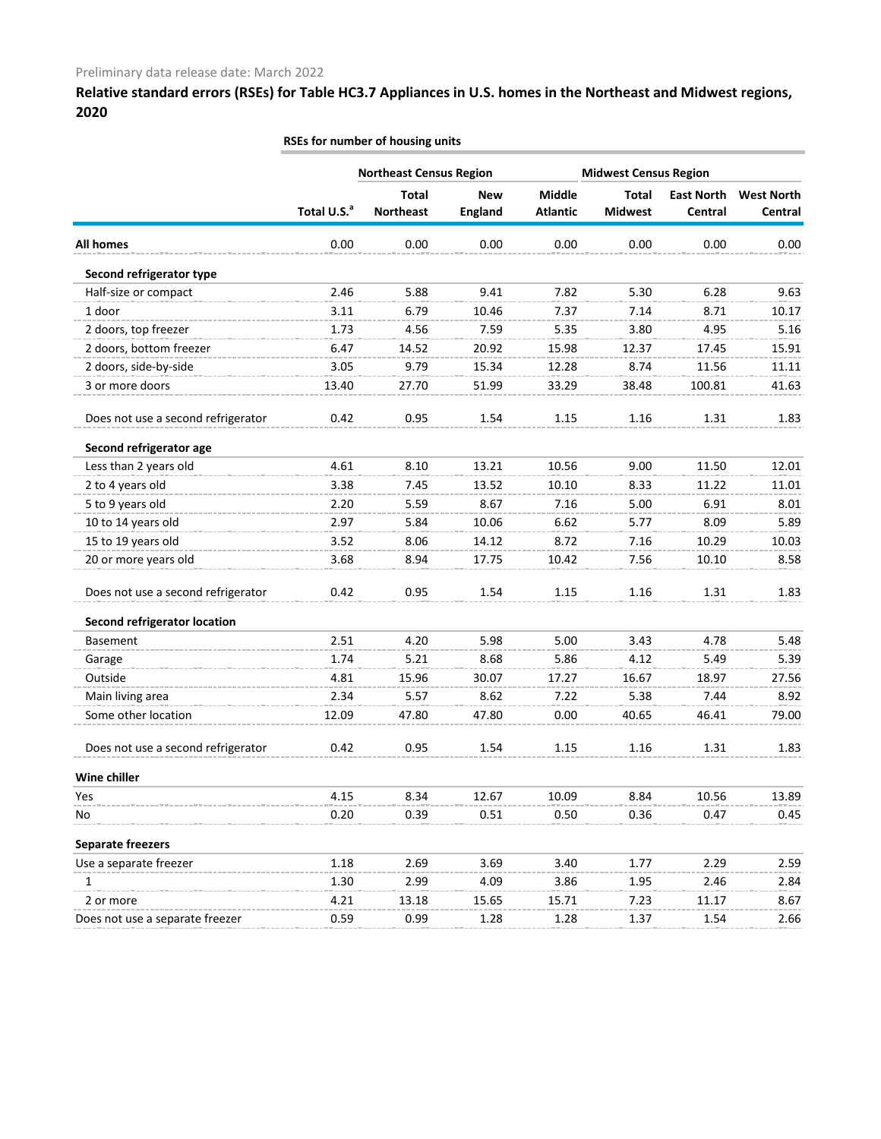|                                     | RSEs for number of housing units |                                  |                              |                           |                                |                              |                              |  |  |
|-------------------------------------|----------------------------------|----------------------------------|------------------------------|---------------------------|--------------------------------|------------------------------|------------------------------|--|--|
|                                     |                                  | <b>Northeast Census Region</b>   |                              |                           | <b>Midwest Census Region</b>   |                              |                              |  |  |
|                                     | Total U.S. <sup>a</sup>          | <b>Total</b><br><b>Northeast</b> | <b>New</b><br><b>England</b> | Middle<br><b>Atlantic</b> | <b>Total</b><br><b>Midwest</b> | <b>East North</b><br>Central | <b>West North</b><br>Central |  |  |
| <b>All homes</b>                    | 0.00                             | 0.00                             | 0.00                         | 0.00                      | 0.00                           | 0.00                         | 0.00                         |  |  |
| Second refrigerator type            |                                  |                                  |                              |                           |                                |                              |                              |  |  |
| Half-size or compact                | 2.46                             | 5.88                             | 9.41                         | 7.82                      | 5.30                           | 6.28                         | 9.63                         |  |  |
| 1 door                              | 3.11                             | 6.79                             | 10.46                        | 7.37                      | 7.14                           | 8.71                         | 10.17                        |  |  |
| 2 doors, top freezer                | 1.73                             | 4.56                             | 7.59                         | 5.35                      | 3.80                           | 4.95                         | 5.16                         |  |  |
| 2 doors, bottom freezer             | 6.47                             | 14.52                            | 20.92                        | 15.98                     | 12.37                          | 17.45                        | 15.91                        |  |  |
| 2 doors, side-by-side               | 3.05                             | 9.79                             | 15.34                        | 12.28                     | 8.74                           | 11.56                        | 11.11                        |  |  |
| 3 or more doors                     | 13.40                            | 27.70                            | 51.99                        | 33.29                     | 38.48                          | 100.81                       | 41.63                        |  |  |
| Does not use a second refrigerator  | 0.42                             | 0.95                             | 1.54                         | 1.15                      | 1.16                           | 1.31                         | 1.83                         |  |  |
| Second refrigerator age             |                                  |                                  |                              |                           |                                |                              |                              |  |  |
| Less than 2 years old               | 4.61                             | 8.10                             | 13.21                        | 10.56                     | 9.00                           | 11.50                        | 12.01                        |  |  |
| 2 to 4 years old                    | 3.38                             | 7.45                             | 13.52                        | 10.10                     | 8.33                           | 11.22                        | 11.01                        |  |  |
| 5 to 9 years old                    | 2.20                             | 5.59                             | 8.67                         | 7.16                      | 5.00                           | 6.91                         | 8.01                         |  |  |
| 10 to 14 years old                  | 2.97                             | 5.84                             | 10.06                        | 6.62                      | 5.77                           | 8.09                         | 5.89                         |  |  |
| 15 to 19 years old                  | 3.52                             | 8.06                             | 14.12                        | 8.72                      | 7.16                           | 10.29                        | 10.03                        |  |  |
| 20 or more years old                | 3.68                             | 8.94                             | 17.75                        | 10.42                     | 7.56                           | 10.10                        | 8.58                         |  |  |
| Does not use a second refrigerator  | 0.42                             | 0.95                             | 1.54                         | 1.15                      | 1.16                           | 1.31                         | 1.83                         |  |  |
| <b>Second refrigerator location</b> |                                  |                                  |                              |                           |                                |                              |                              |  |  |
| <b>Basement</b>                     | 2.51                             | 4.20                             | 5.98                         | 5.00                      | 3.43                           | 4.78                         | 5.48                         |  |  |
| Garage                              | 1.74                             | 5.21                             | 8.68                         | 5.86                      | 4.12                           | 5.49                         | 5.39                         |  |  |
| Outside                             | 4.81                             | 15.96                            | 30.07                        | 17.27                     | 16.67                          | 18.97                        | 27.56                        |  |  |
| Main living area                    | 2.34                             | 5.57                             | 8.62                         | 7.22                      | 5.38                           | 7.44                         | 8.92                         |  |  |
| Some other location                 | 12.09                            | 47.80                            | 47.80                        | 0.00                      | 40.65                          | 46.41                        | 79.00                        |  |  |
| Does not use a second refrigerator  | 0.42                             | 0.95                             | 1.54                         | 1.15                      | 1.16                           | 1.31                         | 1.83                         |  |  |
| Wine chiller                        |                                  |                                  |                              |                           |                                |                              |                              |  |  |
| Yes                                 | 4.15                             | 8.34                             | 12.67                        | 10.09                     | 8.84                           | 10.56                        | 13.89                        |  |  |
| No                                  | 0.20                             | 0.39                             | 0.51                         | 0.50                      | 0.36                           | 0.47                         | 0.45                         |  |  |
| <b>Separate freezers</b>            |                                  |                                  |                              |                           |                                |                              |                              |  |  |
| Use a separate freezer              | 1.18                             | 2.69                             | 3.69                         | 3.40                      | 1.77                           | 2.29                         | 2.59                         |  |  |
| 1                                   | 1.30                             | 2.99                             | 4.09                         | 3.86                      | 1.95                           | 2.46                         | 2.84                         |  |  |
| 2 or more                           | 4.21                             | 13.18                            | 15.65                        | 15.71                     | 7.23                           | 11.17                        | 8.67                         |  |  |
| Does not use a separate freezer     | 0.59                             | 0.99                             | 1.28                         | 1.28                      | 1.37                           | 1.54                         | 2.66                         |  |  |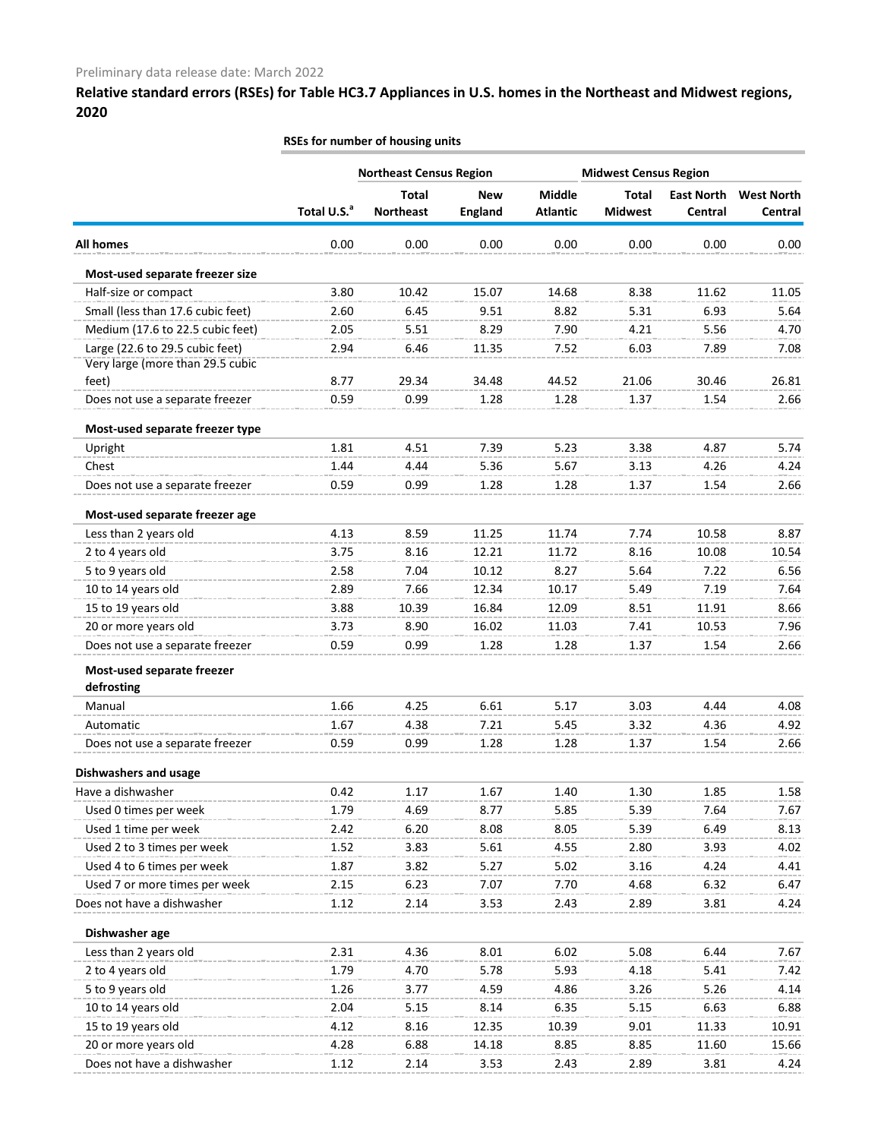|                                                                     | RSEs for number of housing units |                                  |                              |                                  |                                |                              |                              |  |
|---------------------------------------------------------------------|----------------------------------|----------------------------------|------------------------------|----------------------------------|--------------------------------|------------------------------|------------------------------|--|
|                                                                     |                                  | <b>Northeast Census Region</b>   |                              | <b>Midwest Census Region</b>     |                                |                              |                              |  |
|                                                                     | Total U.S. <sup>a</sup>          | <b>Total</b><br><b>Northeast</b> | <b>New</b><br><b>England</b> | <b>Middle</b><br><b>Atlantic</b> | <b>Total</b><br><b>Midwest</b> | <b>East North</b><br>Central | <b>West North</b><br>Central |  |
| All homes                                                           | 0.00                             | 0.00                             | 0.00                         | 0.00                             | 0.00                           | 0.00                         | 0.00                         |  |
| Most-used separate freezer size                                     |                                  |                                  |                              |                                  |                                |                              |                              |  |
| Half-size or compact                                                | 3.80                             | 10.42                            | 15.07                        | 14.68                            | 8.38                           | 11.62                        | 11.05                        |  |
| Small (less than 17.6 cubic feet)                                   | 2.60                             | 6.45                             | 9.51                         | 8.82                             | 5.31                           | 6.93                         | 5.64                         |  |
| Medium (17.6 to 22.5 cubic feet)                                    | 2.05                             | 5.51                             | 8.29                         | 7.90                             | 4.21                           | 5.56                         | 4.70                         |  |
| Large (22.6 to 29.5 cubic feet)<br>Very large (more than 29.5 cubic | 2.94                             | 6.46                             | 11.35                        | 7.52                             | 6.03                           | 7.89                         | 7.08                         |  |
| feet)                                                               | 8.77                             | 29.34                            | 34.48                        | 44.52                            | 21.06                          | 30.46                        | 26.81                        |  |
| Does not use a separate freezer                                     | 0.59                             | 0.99                             | 1.28                         | 1.28                             | 1.37                           | 1.54                         | 2.66                         |  |
| Most-used separate freezer type                                     |                                  |                                  |                              |                                  |                                |                              |                              |  |
| Upright                                                             | 1.81                             | 4.51                             | 7.39                         | 5.23                             | 3.38                           | 4.87                         | 5.74                         |  |
| Chest                                                               | 1.44                             | 4.44                             | 5.36                         | 5.67                             | 3.13                           | 4.26                         | 4.24                         |  |
| Does not use a separate freezer                                     | 0.59                             | 0.99                             | 1.28                         | 1.28                             | 1.37                           | 1.54                         | 2.66                         |  |
| Most-used separate freezer age                                      |                                  |                                  |                              |                                  |                                |                              |                              |  |
| Less than 2 years old                                               | 4.13                             | 8.59                             | 11.25                        | 11.74                            | 7.74                           | 10.58                        | 8.87                         |  |
| 2 to 4 years old                                                    | 3.75                             | 8.16                             | 12.21                        | 11.72                            | 8.16                           | 10.08                        | 10.54                        |  |
| 5 to 9 years old                                                    | 2.58                             | 7.04                             | 10.12                        | 8.27                             | 5.64                           | 7.22                         | 6.56                         |  |
| 10 to 14 years old                                                  | 2.89                             | 7.66                             | 12.34                        | 10.17                            | 5.49                           | 7.19                         | 7.64                         |  |
| 15 to 19 years old                                                  | 3.88                             | 10.39                            | 16.84                        | 12.09                            | 8.51                           | 11.91                        | 8.66                         |  |
| 20 or more years old                                                | 3.73                             | 8.90                             | 16.02                        | 11.03                            | 7.41                           | 10.53                        | 7.96                         |  |
| Does not use a separate freezer                                     | 0.59                             | 0.99                             | 1.28                         | 1.28                             | 1.37                           | 1.54                         | 2.66                         |  |
| Most-used separate freezer<br>defrosting                            |                                  |                                  |                              |                                  |                                |                              |                              |  |
| Manual                                                              | 1.66                             | 4.25                             | 6.61                         | 5.17                             | 3.03                           | 4.44                         | 4.08                         |  |
| Automatic                                                           | 1.67                             | 4.38                             | 7.21                         | 5.45                             | 3.32                           | 4.36                         | 4.92                         |  |
| Does not use a separate freezer                                     | 0.59                             | 0.99                             | 1.28                         | 1.28                             | 1.37                           | 1.54                         | 2.66                         |  |
|                                                                     |                                  |                                  |                              |                                  |                                |                              |                              |  |
| <b>Dishwashers and usage</b>                                        |                                  |                                  |                              |                                  |                                |                              |                              |  |
| Have a dishwasher                                                   | 0.42                             | 1.17                             | 1.67                         | 1.40                             | 1.30                           | 1.85                         | 1.58                         |  |
| Used 0 times per week                                               | 1.79                             | 4.69                             | 8.77                         | 5.85                             | 5.39                           | 7.64                         | 7.67                         |  |
| Used 1 time per week                                                | 2.42                             | 6.20                             | 8.08                         | 8.05                             | 5.39                           | 6.49                         | 8.13                         |  |
| Used 2 to 3 times per week                                          | 1.52                             | 3.83                             | 5.61                         | 4.55                             | 2.80                           | 3.93                         | 4.02                         |  |
| Used 4 to 6 times per week                                          | 1.87                             | 3.82                             | 5.27                         | 5.02                             | 3.16                           | 4.24                         | 4.41                         |  |
| Used 7 or more times per week                                       | 2.15                             | 6.23                             | 7.07                         | 7.70                             | 4.68                           | 6.32                         | 6.47                         |  |
| Does not have a dishwasher                                          | 1.12                             | 2.14                             | 3.53                         | 2.43                             | 2.89                           | 3.81                         | 4.24                         |  |
| Dishwasher age                                                      |                                  |                                  |                              |                                  |                                |                              |                              |  |
| Less than 2 years old                                               | 2.31                             | 4.36                             | 8.01                         | 6.02                             | 5.08                           | 6.44                         | 7.67                         |  |
| 2 to 4 years old                                                    | 1.79                             | 4.70                             | 5.78                         | 5.93                             | 4.18                           | 5.41                         | 7.42                         |  |
| 5 to 9 years old                                                    | 1.26                             | 3.77                             | 4.59                         | 4.86                             | 3.26                           | 5.26                         | 4.14                         |  |
| 10 to 14 years old                                                  | 2.04                             | 5.15                             | 8.14                         | 6.35                             | 5.15                           | 6.63                         | 6.88                         |  |
| 15 to 19 years old                                                  | 4.12                             | 8.16                             | 12.35                        | 10.39                            | 9.01                           | 11.33                        | 10.91                        |  |
| 20 or more years old                                                | 4.28                             | 6.88                             | 14.18                        | 8.85                             | 8.85                           | 11.60                        | 15.66                        |  |
| Does not have a dishwasher                                          | 1.12                             | 2.14                             | 3.53                         | 2.43                             | 2.89                           | 3.81                         | 4.24                         |  |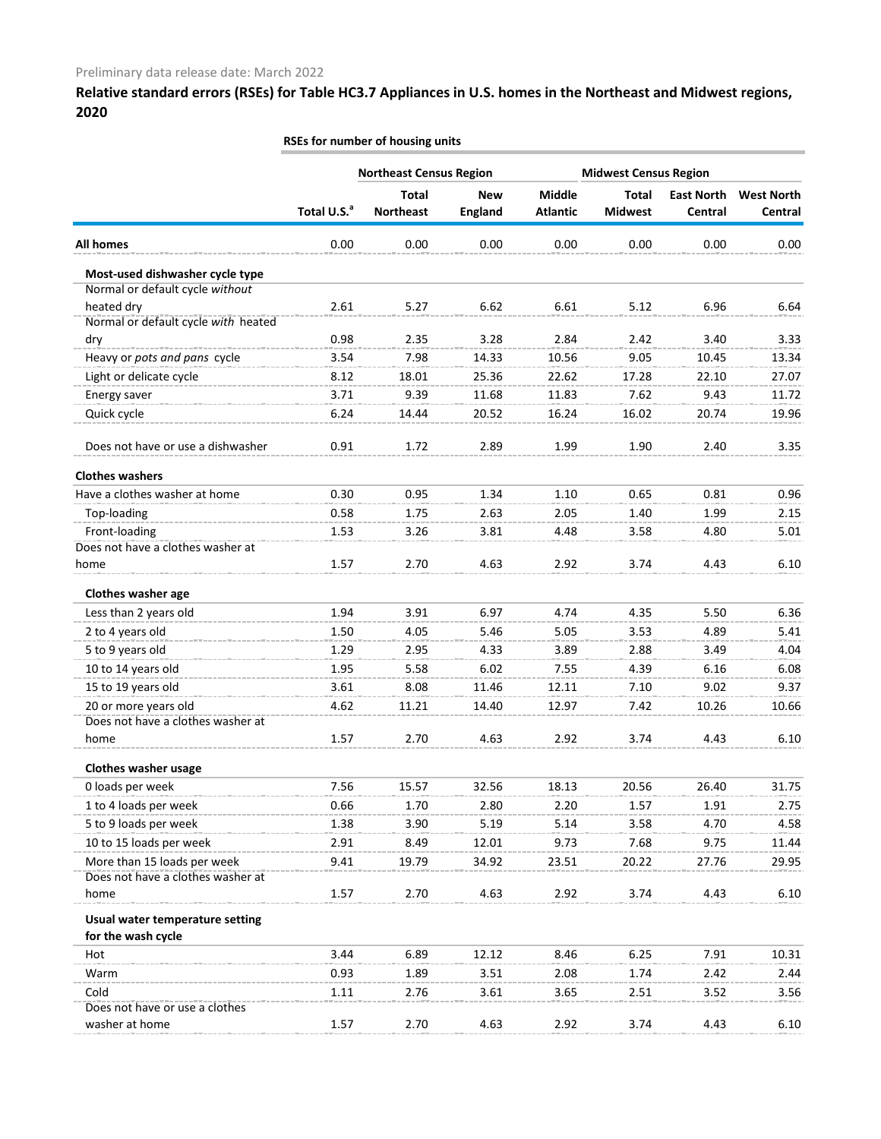|                                            | RSEs for number of housing units |                                  |                              |                           |                                |                              |                              |  |
|--------------------------------------------|----------------------------------|----------------------------------|------------------------------|---------------------------|--------------------------------|------------------------------|------------------------------|--|
|                                            |                                  | <b>Northeast Census Region</b>   |                              |                           | <b>Midwest Census Region</b>   |                              |                              |  |
|                                            | Total U.S. <sup>a</sup>          | <b>Total</b><br><b>Northeast</b> | <b>New</b><br><b>England</b> | Middle<br><b>Atlantic</b> | <b>Total</b><br><b>Midwest</b> | <b>East North</b><br>Central | <b>West North</b><br>Central |  |
| <b>All homes</b>                           | 0.00                             | 0.00                             | 0.00                         | 0.00                      | 0.00                           | 0.00                         |                              |  |
|                                            |                                  |                                  |                              |                           |                                |                              | 0.00                         |  |
| Most-used dishwasher cycle type            |                                  |                                  |                              |                           |                                |                              |                              |  |
| Normal or default cycle without            |                                  |                                  |                              |                           |                                |                              |                              |  |
| heated dry                                 | 2.61                             | 5.27                             | 6.62                         | 6.61                      | 5.12                           | 6.96                         | 6.64                         |  |
| Normal or default cycle with heated<br>dry | 0.98                             | 2.35                             | 3.28                         | 2.84                      | 2.42                           | 3.40                         | 3.33                         |  |
|                                            | 3.54                             | 7.98                             | 14.33                        | 10.56                     | 9.05                           | 10.45                        | 13.34                        |  |
| Heavy or pots and pans cycle               |                                  |                                  |                              |                           |                                |                              |                              |  |
| Light or delicate cycle                    | 8.12                             | 18.01                            | 25.36                        | 22.62                     | 17.28                          | 22.10                        | 27.07                        |  |
| Energy saver                               | 3.71                             | 9.39                             | 11.68                        | 11.83                     | 7.62                           | 9.43                         | 11.72                        |  |
| Quick cycle                                | 6.24                             | 14.44                            | 20.52                        | 16.24                     | 16.02                          | 20.74                        | 19.96                        |  |
| Does not have or use a dishwasher          | 0.91                             | 1.72                             | 2.89                         | 1.99                      | 1.90                           | 2.40                         | 3.35                         |  |
| <b>Clothes washers</b>                     |                                  |                                  |                              |                           |                                |                              |                              |  |
| Have a clothes washer at home              | 0.30                             | 0.95                             | 1.34                         | 1.10                      | 0.65                           | 0.81                         | 0.96                         |  |
| Top-loading                                | 0.58                             | 1.75                             | 2.63                         | 2.05                      | 1.40                           | 1.99                         | 2.15                         |  |
| Front-loading                              | 1.53                             | 3.26                             | 3.81                         | 4.48                      | 3.58                           | 4.80                         | 5.01                         |  |
| Does not have a clothes washer at          |                                  |                                  |                              |                           |                                |                              |                              |  |
| home                                       | 1.57                             | 2.70                             | 4.63                         | 2.92                      | 3.74                           | 4.43                         | 6.10                         |  |
| Clothes washer age                         |                                  |                                  |                              |                           |                                |                              |                              |  |
| Less than 2 years old                      | 1.94                             | 3.91                             | 6.97                         | 4.74                      | 4.35                           | 5.50                         | 6.36                         |  |
| 2 to 4 years old                           | 1.50                             | 4.05                             | 5.46                         | 5.05                      | 3.53                           | 4.89                         | 5.41                         |  |
| 5 to 9 years old                           | 1.29                             | 2.95                             | 4.33                         | 3.89                      | 2.88                           | 3.49                         | 4.04                         |  |
| 10 to 14 years old                         | 1.95                             | 5.58                             | 6.02                         | 7.55                      | 4.39                           | 6.16                         | 6.08                         |  |
| 15 to 19 years old                         | 3.61                             | 8.08                             | 11.46                        | 12.11                     | 7.10                           | 9.02                         | 9.37                         |  |
| 20 or more years old                       | 4.62                             | 11.21                            | 14.40                        | 12.97                     | 7.42                           | 10.26                        | 10.66                        |  |
| Does not have a clothes washer at          |                                  |                                  |                              |                           |                                |                              |                              |  |
| home                                       | 1.57                             | 2.70                             | 4.63                         | 2.92                      | 3.74                           | 4.43                         | 6.10                         |  |
| <b>Clothes washer usage</b>                |                                  |                                  |                              |                           |                                |                              |                              |  |
| 0 loads per week                           | 7.56                             | 15.57                            | 32.56                        | 18.13                     | 20.56                          | 26.40                        | 31.75                        |  |
| 1 to 4 loads per week                      | 0.66                             | 1.70                             | 2.80                         | 2.20                      | 1.57                           | 1.91                         | 2.75                         |  |
| 5 to 9 loads per week                      | 1.38                             | 3.90                             | 5.19                         | 5.14                      | 3.58                           | 4.70                         | 4.58                         |  |
| 10 to 15 loads per week                    | 2.91                             | 8.49                             | 12.01                        | 9.73                      | 7.68                           | 9.75                         | 11.44                        |  |
| More than 15 loads per week                | 9.41                             | 19.79                            | 34.92                        | 23.51                     | 20.22                          | 27.76                        | 29.95                        |  |
| Does not have a clothes washer at          |                                  |                                  |                              |                           |                                |                              |                              |  |
| home                                       | 1.57                             | 2.70                             | 4.63                         | 2.92                      | 3.74                           | 4.43                         | 6.10                         |  |
| Usual water temperature setting            |                                  |                                  |                              |                           |                                |                              |                              |  |
| for the wash cycle<br>Hot                  | 3.44                             | 6.89                             | 12.12                        | 8.46                      | 6.25                           | 7.91                         | 10.31                        |  |
| Warm                                       | 0.93                             | 1.89                             | 3.51                         | 2.08                      | 1.74                           | 2.42                         | 2.44                         |  |
| Cold                                       | 1.11                             |                                  |                              |                           |                                |                              |                              |  |
| Does not have or use a clothes             |                                  | 2.76                             | 3.61                         | 3.65                      | 2.51                           | 3.52                         | 3.56                         |  |
| washer at home                             | 1.57                             | 2.70                             | 4.63                         | 2.92                      | 3.74                           | 4.43                         | 6.10                         |  |